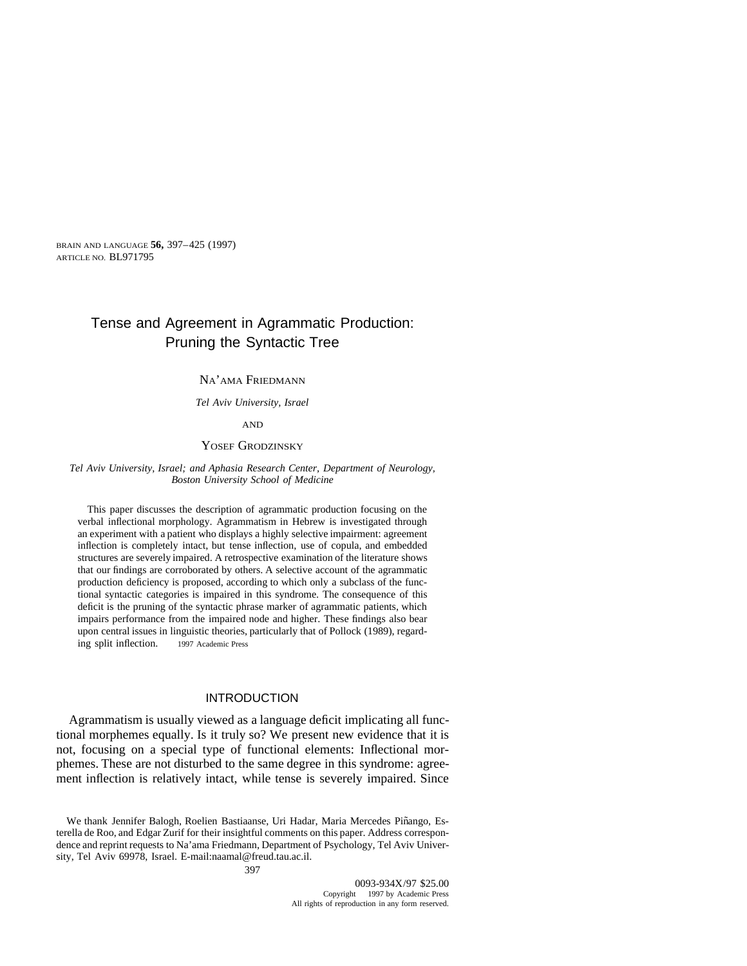# Tense and Agreement in Agrammatic Production: Pruning the Syntactic Tree

# NA'AMA FRIEDMANN

*Tel Aviv University, Israel*

#### AND

# YOSEF GRODZINSKY

#### *Tel Aviv University, Israel; and Aphasia Research Center, Department of Neurology, Boston University School of Medicine*

This paper discusses the description of agrammatic production focusing on the verbal inflectional morphology. Agrammatism in Hebrew is investigated through an experiment with a patient who displays a highly selective impairment: agreement inflection is completely intact, but tense inflection, use of copula, and embedded structures are severely impaired. A retrospective examination of the literature shows that our findings are corroborated by others. A selective account of the agrammatic production deficiency is proposed, according to which only a subclass of the functional syntactic categories is impaired in this syndrome. The consequence of this deficit is the pruning of the syntactic phrase marker of agrammatic patients, which impairs performance from the impaired node and higher. These findings also bear upon central issues in linguistic theories, particularly that of Pollock (1989), regarding split inflection.  $@$  1997 Academic Press

# INTRODUCTION

Agrammatism is usually viewed as a language deficit implicating all functional morphemes equally. Is it truly so? We present new evidence that it is not, focusing on a special type of functional elements: Inflectional morphemes. These are not disturbed to the same degree in this syndrome: agreement inflection is relatively intact, while tense is severely impaired. Since

We thank Jennifer Balogh, Roelien Bastiaanse, Uri Hadar, Maria Mercedes Piñango, Esterella de Roo, and Edgar Zurif for their insightful comments on this paper. Address correspondence and reprint requests to Na'ama Friedmann, Department of Psychology, Tel Aviv University, Tel Aviv 69978, Israel. E-mail:naamal@freud.tau.ac.il.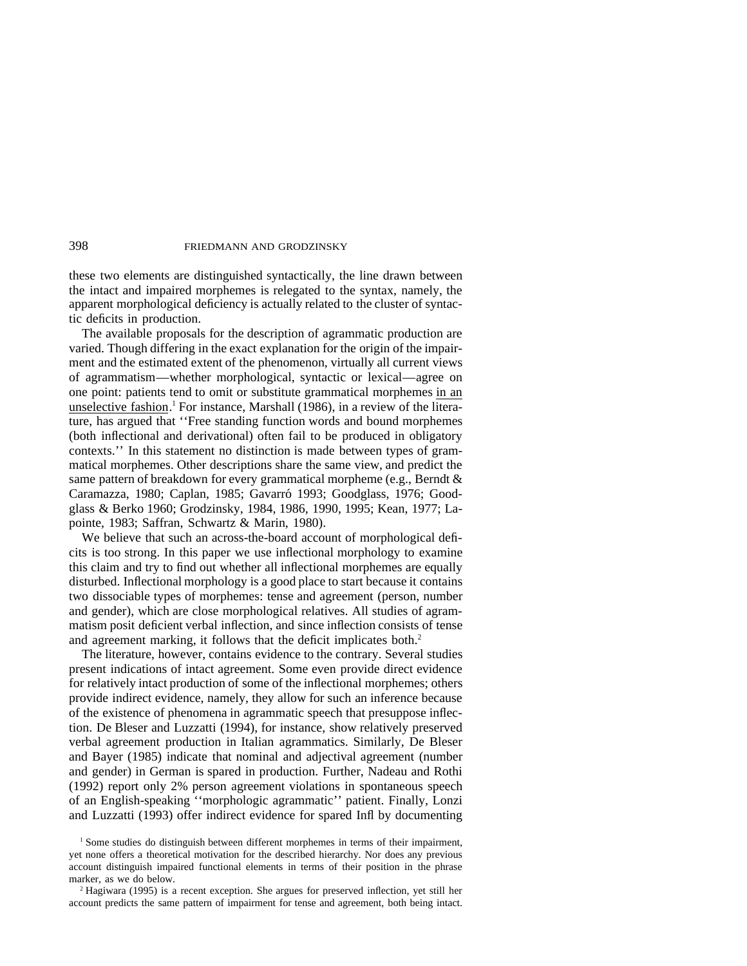these two elements are distinguished syntactically, the line drawn between the intact and impaired morphemes is relegated to the syntax, namely, the apparent morphological deficiency is actually related to the cluster of syntactic deficits in production.

The available proposals for the description of agrammatic production are varied. Though differing in the exact explanation for the origin of the impairment and the estimated extent of the phenomenon, virtually all current views of agrammatism—whether morphological, syntactic or lexical—agree on one point: patients tend to omit or substitute grammatical morphemes in an unselective fashion.<sup>1</sup> For instance, Marshall (1986), in a review of the literature, has argued that ''Free standing function words and bound morphemes (both inflectional and derivational) often fail to be produced in obligatory contexts.'' In this statement no distinction is made between types of grammatical morphemes. Other descriptions share the same view, and predict the same pattern of breakdown for every grammatical morpheme (e.g., Berndt & Caramazza, 1980; Caplan, 1985; Gavarró 1993; Goodglass, 1976; Goodglass & Berko 1960; Grodzinsky, 1984, 1986, 1990, 1995; Kean, 1977; Lapointe, 1983; Saffran, Schwartz & Marin, 1980).

We believe that such an across-the-board account of morphological deficits is too strong. In this paper we use inflectional morphology to examine this claim and try to find out whether all inflectional morphemes are equally disturbed. Inflectional morphology is a good place to start because it contains two dissociable types of morphemes: tense and agreement (person, number and gender), which are close morphological relatives. All studies of agrammatism posit deficient verbal inflection, and since inflection consists of tense and agreement marking, it follows that the deficit implicates both.<sup>2</sup>

The literature, however, contains evidence to the contrary. Several studies present indications of intact agreement. Some even provide direct evidence for relatively intact production of some of the inflectional morphemes; others provide indirect evidence, namely, they allow for such an inference because of the existence of phenomena in agrammatic speech that presuppose inflection. De Bleser and Luzzatti (1994), for instance, show relatively preserved verbal agreement production in Italian agrammatics. Similarly, De Bleser and Bayer (1985) indicate that nominal and adjectival agreement (number and gender) in German is spared in production. Further, Nadeau and Rothi (1992) report only 2% person agreement violations in spontaneous speech of an English-speaking ''morphologic agrammatic'' patient. Finally, Lonzi and Luzzatti (1993) offer indirect evidence for spared Infl by documenting

<sup>1</sup> Some studies do distinguish between different morphemes in terms of their impairment, yet none offers a theoretical motivation for the described hierarchy. Nor does any previous account distinguish impaired functional elements in terms of their position in the phrase marker, as we do below.

 $2$  Hagiwara (1995) is a recent exception. She argues for preserved inflection, yet still her account predicts the same pattern of impairment for tense and agreement, both being intact.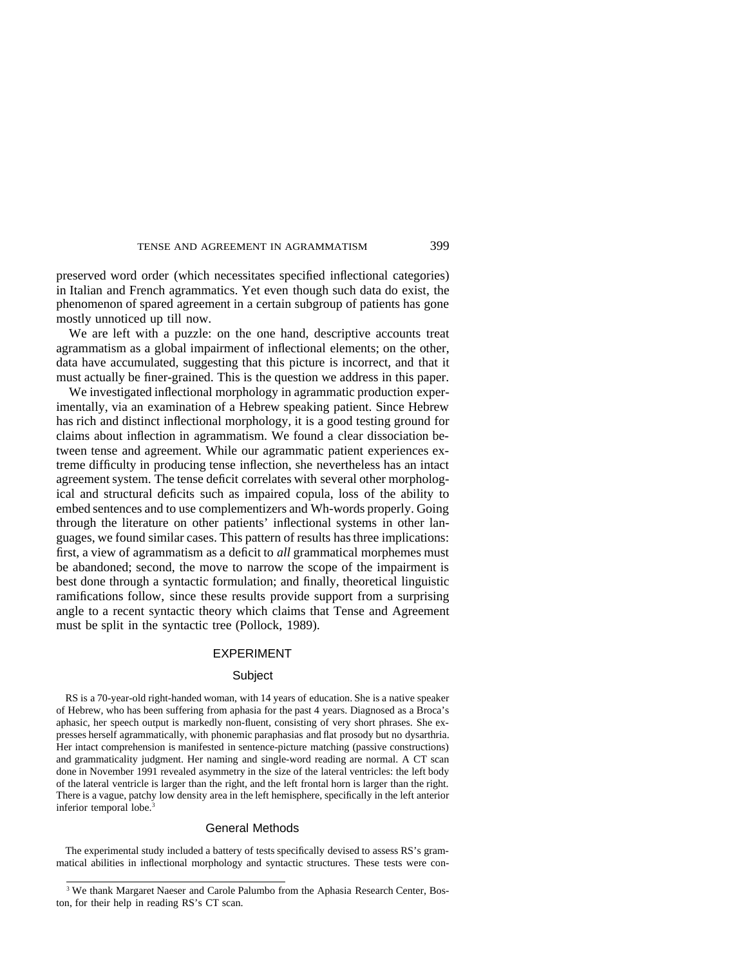preserved word order (which necessitates specified inflectional categories) in Italian and French agrammatics. Yet even though such data do exist, the phenomenon of spared agreement in a certain subgroup of patients has gone mostly unnoticed up till now.

We are left with a puzzle: on the one hand, descriptive accounts treat agrammatism as a global impairment of inflectional elements; on the other, data have accumulated, suggesting that this picture is incorrect, and that it must actually be finer-grained. This is the question we address in this paper.

We investigated inflectional morphology in agrammatic production experimentally, via an examination of a Hebrew speaking patient. Since Hebrew has rich and distinct inflectional morphology, it is a good testing ground for claims about inflection in agrammatism. We found a clear dissociation between tense and agreement. While our agrammatic patient experiences extreme difficulty in producing tense inflection, she nevertheless has an intact agreement system. The tense deficit correlates with several other morphological and structural deficits such as impaired copula, loss of the ability to embed sentences and to use complementizers and Wh-words properly. Going through the literature on other patients' inflectional systems in other languages, we found similar cases. This pattern of results has three implications: first, a view of agrammatism as a deficit to *all* grammatical morphemes must be abandoned; second, the move to narrow the scope of the impairment is best done through a syntactic formulation; and finally, theoretical linguistic ramifications follow, since these results provide support from a surprising angle to a recent syntactic theory which claims that Tense and Agreement must be split in the syntactic tree (Pollock, 1989).

### EXPERIMENT

### Subject

RS is a 70-year-old right-handed woman, with 14 years of education. She is a native speaker of Hebrew, who has been suffering from aphasia for the past 4 years. Diagnosed as a Broca's aphasic, her speech output is markedly non-fluent, consisting of very short phrases. She expresses herself agrammatically, with phonemic paraphasias and flat prosody but no dysarthria. Her intact comprehension is manifested in sentence-picture matching (passive constructions) and grammaticality judgment. Her naming and single-word reading are normal. A CT scan done in November 1991 revealed asymmetry in the size of the lateral ventricles: the left body of the lateral ventricle is larger than the right, and the left frontal horn is larger than the right. There is a vague, patchy low density area in the left hemisphere, specifically in the left anterior inferior temporal lobe.<sup>3</sup>

# General Methods

The experimental study included a battery of tests specifically devised to assess RS's grammatical abilities in inflectional morphology and syntactic structures. These tests were con-

<sup>&</sup>lt;sup>3</sup> We thank Margaret Naeser and Carole Palumbo from the Aphasia Research Center, Boston, for their help in reading RS's CT scan.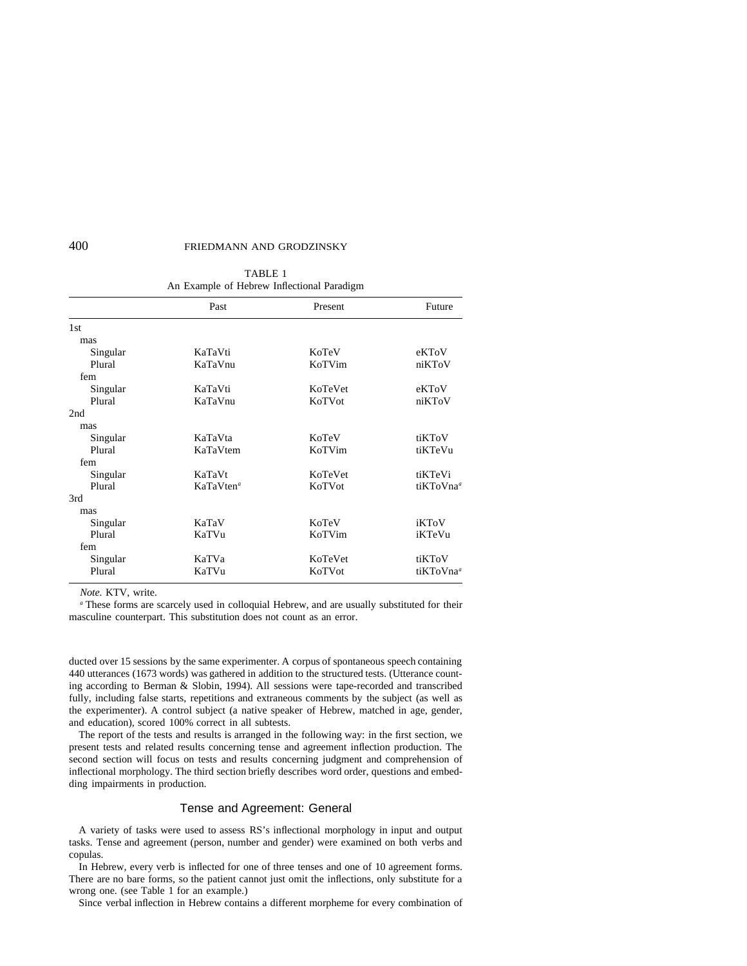### 400 FRIEDMANN AND GRODZINSKY

|          | Past                  | Present | Future                |
|----------|-----------------------|---------|-----------------------|
| 1st      |                       |         |                       |
| mas      |                       |         |                       |
| Singular | KaTaVti               | KoTeV   | eKToV                 |
| Plural   | KaTaVnu               | KoTVim  | niKToV                |
| fem      |                       |         |                       |
| Singular | KaTaVti               | KoTeVet | eKToV                 |
| Plural   | KaTaVnu               | KoTVot  | niKToV                |
| 2nd      |                       |         |                       |
| mas      |                       |         |                       |
| Singular | KaTaVta               | KoTeV   | tiKToV                |
| Plural   | KaTaVtem              | KoTVim  | tiKTeVu               |
| fem      |                       |         |                       |
| Singular | KaTaVt                | KoTeVet | tiKTeVi               |
| Plural   | KaTaVten <sup>a</sup> | KoTVot  | tiKToVna <sup>a</sup> |
| 3rd      |                       |         |                       |
| mas      |                       |         |                       |
| Singular | KaTaV                 | KoTeV   | iKToV                 |
| Plural   | KaTVu                 | KoTVim  | iKTeVu                |
| fem      |                       |         |                       |
| Singular | KaTVa                 | KoTeVet | tiKToV                |
| Plural   | KaTVu                 | KoTVot  | tiKToVna <sup>a</sup> |

# TABLE 1 An Example of Hebrew Inflectional Paradigm

*Note.* KTV, write.

*<sup>a</sup>* These forms are scarcely used in colloquial Hebrew, and are usually substituted for their masculine counterpart. This substitution does not count as an error.

ducted over 15 sessions by the same experimenter. A corpus of spontaneous speech containing 440 utterances (1673 words) was gathered in addition to the structured tests. (Utterance counting according to Berman & Slobin, 1994). All sessions were tape-recorded and transcribed fully, including false starts, repetitions and extraneous comments by the subject (as well as the experimenter). A control subject (a native speaker of Hebrew, matched in age, gender, and education), scored 100% correct in all subtests.

The report of the tests and results is arranged in the following way: in the first section, we present tests and related results concerning tense and agreement inflection production. The second section will focus on tests and results concerning judgment and comprehension of inflectional morphology. The third section briefly describes word order, questions and embedding impairments in production.

# Tense and Agreement: General

A variety of tasks were used to assess RS's inflectional morphology in input and output tasks. Tense and agreement (person, number and gender) were examined on both verbs and copulas.

In Hebrew, every verb is inflected for one of three tenses and one of 10 agreement forms. There are no bare forms, so the patient cannot just omit the inflections, only substitute for a wrong one. (see Table 1 for an example.)

Since verbal inflection in Hebrew contains a different morpheme for every combination of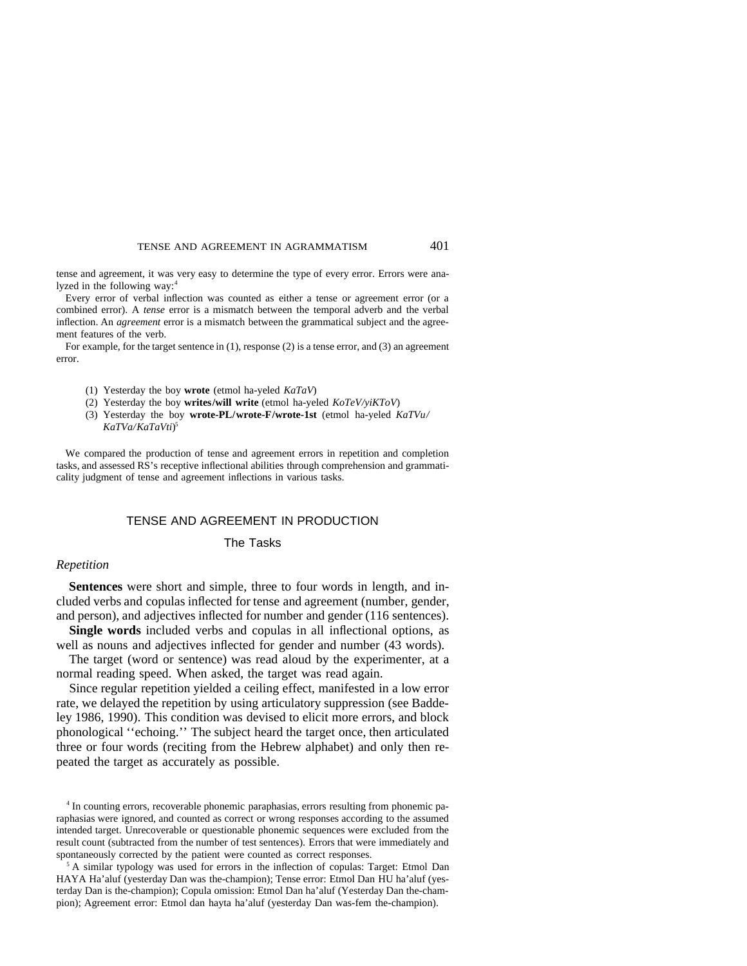tense and agreement, it was very easy to determine the type of every error. Errors were analyzed in the following way:4

Every error of verbal inflection was counted as either a tense or agreement error (or a combined error). A *tense* error is a mismatch between the temporal adverb and the verbal inflection. An *agreement* error is a mismatch between the grammatical subject and the agreement features of the verb.

For example, for the target sentence in (1), response (2) is a tense error, and (3) an agreement error.

- (1) Yesterday the boy **wrote** (etmol ha-yeled *KaTaV*)
- (2) Yesterday the boy **writes/will write** (etmol ha-yeled *KoTeV/yiKToV*)
- (3) Yesterday the boy **wrote-PL/wrote-F/wrote-1st** (etmol ha-yeled *KaTVu/ KaTVa/KaTaVti*) 5

We compared the production of tense and agreement errors in repetition and completion tasks, and assessed RS's receptive inflectional abilities through comprehension and grammaticality judgment of tense and agreement inflections in various tasks.

# TENSE AND AGREEMENT IN PRODUCTION

### The Tasks

#### *Repetition*

**Sentences** were short and simple, three to four words in length, and included verbs and copulas inflected for tense and agreement (number, gender, and person), and adjectives inflected for number and gender (116 sentences).

**Single words** included verbs and copulas in all inflectional options, as well as nouns and adjectives inflected for gender and number (43 words).

The target (word or sentence) was read aloud by the experimenter, at a normal reading speed. When asked, the target was read again.

Since regular repetition yielded a ceiling effect, manifested in a low error rate, we delayed the repetition by using articulatory suppression (see Baddeley 1986, 1990). This condition was devised to elicit more errors, and block phonological ''echoing.'' The subject heard the target once, then articulated three or four words (reciting from the Hebrew alphabet) and only then repeated the target as accurately as possible.

<sup>4</sup> In counting errors, recoverable phonemic paraphasias, errors resulting from phonemic paraphasias were ignored, and counted as correct or wrong responses according to the assumed intended target. Unrecoverable or questionable phonemic sequences were excluded from the result count (subtracted from the number of test sentences). Errors that were immediately and spontaneously corrected by the patient were counted as correct responses.

<sup>5</sup> A similar typology was used for errors in the inflection of copulas: Target: Etmol Dan HAYA Ha'aluf (yesterday Dan was the-champion); Tense error: Etmol Dan HU ha'aluf (yesterday Dan is the-champion); Copula omission: Etmol Dan ha'aluf (Yesterday Dan the-champion); Agreement error: Etmol dan hayta ha'aluf (yesterday Dan was-fem the-champion).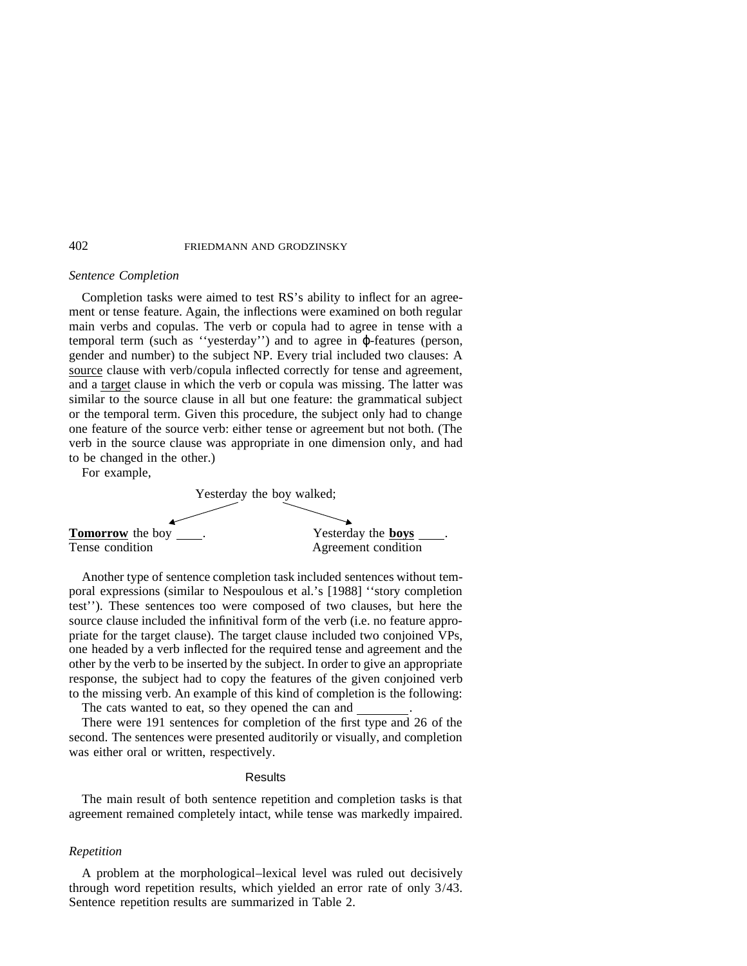### *Sentence Completion*

Completion tasks were aimed to test RS's ability to inflect for an agreement or tense feature. Again, the inflections were examined on both regular main verbs and copulas. The verb or copula had to agree in tense with a temporal term (such as "yesterday") and to agree in  $\Phi$ -features (person, gender and number) to the subject NP. Every trial included two clauses: A source clause with verb/copula inflected correctly for tense and agreement, and a target clause in which the verb or copula was missing. The latter was similar to the source clause in all but one feature: the grammatical subject or the temporal term. Given this procedure, the subject only had to change one feature of the source verb: either tense or agreement but not both. (The verb in the source clause was appropriate in one dimension only, and had to be changed in the other.)

For example,



Another type of sentence completion task included sentences without temporal expressions (similar to Nespoulous et al.'s [1988] ''story completion test''). These sentences too were composed of two clauses, but here the source clause included the infinitival form of the verb (i.e. no feature appropriate for the target clause). The target clause included two conjoined VPs, one headed by a verb inflected for the required tense and agreement and the other by the verb to be inserted by the subject. In order to give an appropriate response, the subject had to copy the features of the given conjoined verb to the missing verb. An example of this kind of completion is the following:

The cats wanted to eat, so they opened the can and

There were 191 sentences for completion of the first type and 26 of the second. The sentences were presented auditorily or visually, and completion was either oral or written, respectively.

#### **Results**

The main result of both sentence repetition and completion tasks is that agreement remained completely intact, while tense was markedly impaired.

### *Repetition*

A problem at the morphological–lexical level was ruled out decisively through word repetition results, which yielded an error rate of only 3/43. Sentence repetition results are summarized in Table 2.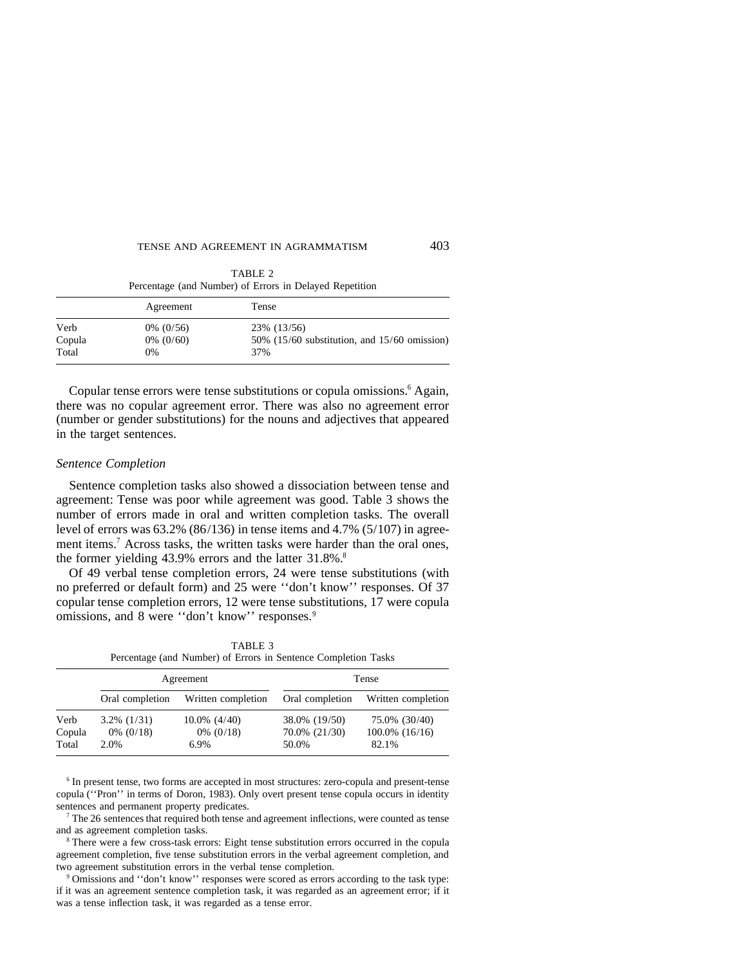| Percentage (and Number) of Errors in Delayed Repetition |                    |                                                        |  |  |
|---------------------------------------------------------|--------------------|--------------------------------------------------------|--|--|
|                                                         | Agreement          | Tense                                                  |  |  |
| Verb                                                    | $0\%$ (0/56)       | 23% (13/56)                                            |  |  |
| Copula<br>Total                                         | $0\%$ (0/60)<br>0% | $50\%$ (15/60 substitution, and 15/60 omission)<br>37% |  |  |

TABLE 2 Percentage (and Number) of Errors in Delayed Repetition

Copular tense errors were tense substitutions or copula omissions.<sup>6</sup> Again, there was no copular agreement error. There was also no agreement error (number or gender substitutions) for the nouns and adjectives that appeared in the target sentences.

### *Sentence Completion*

Sentence completion tasks also showed a dissociation between tense and agreement: Tense was poor while agreement was good. Table 3 shows the number of errors made in oral and written completion tasks. The overall level of errors was 63.2% (86/136) in tense items and 4.7% (5/107) in agreement items.<sup>7</sup> Across tasks, the written tasks were harder than the oral ones, the former yielding  $43.9\%$  errors and the latter  $31.8\%$ .<sup>8</sup>

Of 49 verbal tense completion errors, 24 were tense substitutions (with no preferred or default form) and 25 were ''don't know'' responses. Of 37 copular tense completion errors, 12 were tense substitutions, 17 were copula omissions, and 8 were "don't know" responses.<sup>9</sup>

|        | Agreement        |                    | Tense           |                    |
|--------|------------------|--------------------|-----------------|--------------------|
|        | Oral completion  | Written completion | Oral completion | Written completion |
| Verb   | $3.2\%$ $(1/31)$ | $10.0\%$ $(4/40)$  | 38.0% (19/50)   | 75.0% (30/40)      |
| Copula | $0\%$ (0/18)     | $0\%$ (0/18)       | 70.0% (21/30)   | $100.0\%$ (16/16)  |
| Total  | 2.0%             | 6.9%               | 50.0%           | 82.1%              |

TABLE 3 Percentage (and Number) of Errors in Sentence Completion Tasks

<sup>6</sup> In present tense, two forms are accepted in most structures: zero-copula and present-tense copula (''Pron'' in terms of Doron, 1983). Only overt present tense copula occurs in identity sentences and permanent property predicates.

 $7$  The 26 sentences that required both tense and agreement inflections, were counted as tense and as agreement completion tasks.

<sup>8</sup> There were a few cross-task errors: Eight tense substitution errors occurred in the copula agreement completion, five tense substitution errors in the verbal agreement completion, and two agreement substitution errors in the verbal tense completion.

<sup>9</sup> Omissions and ''don't know'' responses were scored as errors according to the task type: if it was an agreement sentence completion task, it was regarded as an agreement error; if it was a tense inflection task, it was regarded as a tense error.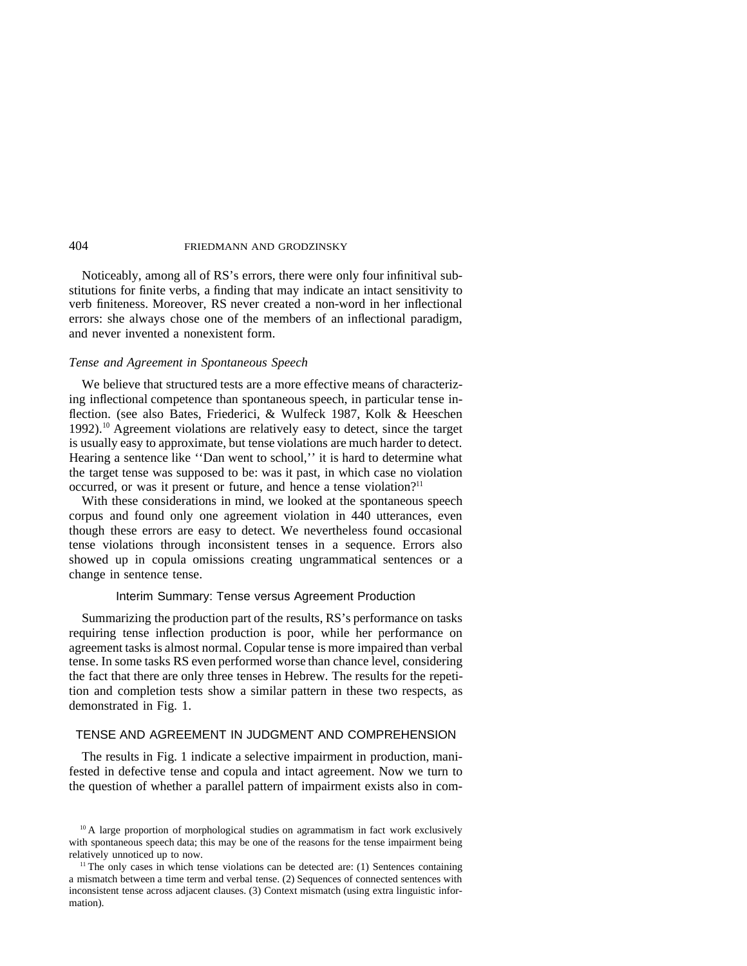Noticeably, among all of RS's errors, there were only four infinitival substitutions for finite verbs, a finding that may indicate an intact sensitivity to verb finiteness. Moreover, RS never created a non-word in her inflectional errors: she always chose one of the members of an inflectional paradigm, and never invented a nonexistent form.

### *Tense and Agreement in Spontaneous Speech*

We believe that structured tests are a more effective means of characterizing inflectional competence than spontaneous speech, in particular tense inflection. (see also Bates, Friederici, & Wulfeck 1987, Kolk & Heeschen 1992).10 Agreement violations are relatively easy to detect, since the target is usually easy to approximate, but tense violations are much harder to detect. Hearing a sentence like ''Dan went to school,'' it is hard to determine what the target tense was supposed to be: was it past, in which case no violation occurred, or was it present or future, and hence a tense violation?<sup>11</sup>

With these considerations in mind, we looked at the spontaneous speech corpus and found only one agreement violation in 440 utterances, even though these errors are easy to detect. We nevertheless found occasional tense violations through inconsistent tenses in a sequence. Errors also showed up in copula omissions creating ungrammatical sentences or a change in sentence tense.

# Interim Summary: Tense versus Agreement Production

Summarizing the production part of the results, RS's performance on tasks requiring tense inflection production is poor, while her performance on agreement tasks is almost normal. Copular tense is more impaired than verbal tense. In some tasks RS even performed worse than chance level, considering the fact that there are only three tenses in Hebrew. The results for the repetition and completion tests show a similar pattern in these two respects, as demonstrated in Fig. 1.

# TENSE AND AGREEMENT IN JUDGMENT AND COMPREHENSION

The results in Fig. 1 indicate a selective impairment in production, manifested in defective tense and copula and intact agreement. Now we turn to the question of whether a parallel pattern of impairment exists also in com-

<sup>&</sup>lt;sup>10</sup> A large proportion of morphological studies on agrammatism in fact work exclusively with spontaneous speech data; this may be one of the reasons for the tense impairment being relatively unnoticed up to now.

 $11$  The only cases in which tense violations can be detected are: (1) Sentences containing a mismatch between a time term and verbal tense. (2) Sequences of connected sentences with inconsistent tense across adjacent clauses. (3) Context mismatch (using extra linguistic information).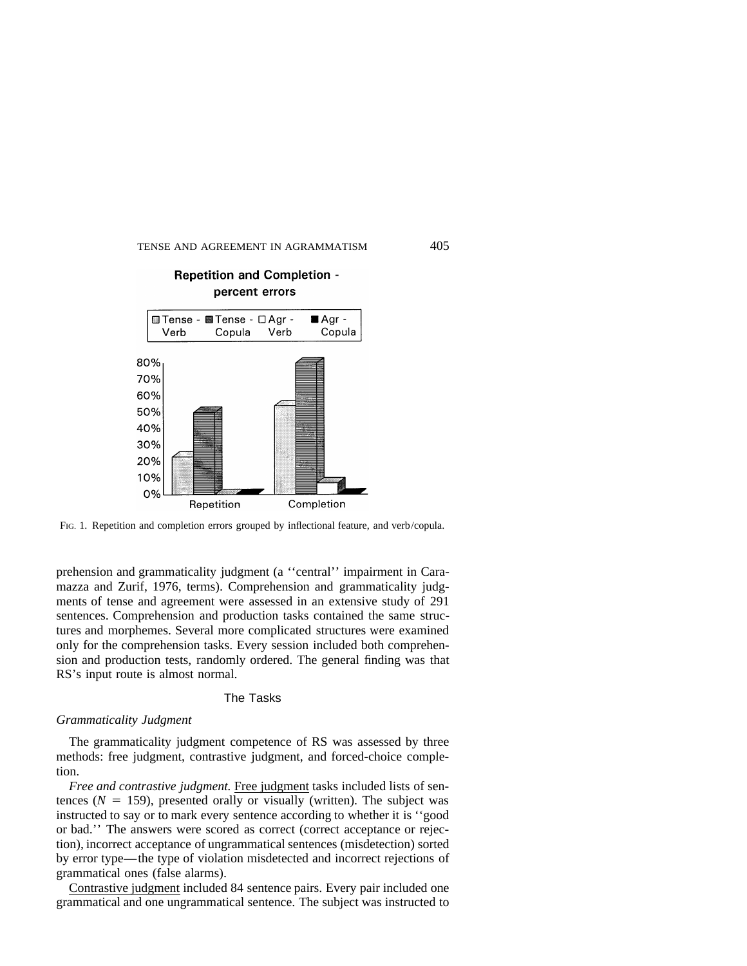

FIG. 1. Repetition and completion errors grouped by inflectional feature, and verb/copula.

prehension and grammaticality judgment (a ''central'' impairment in Caramazza and Zurif, 1976, terms). Comprehension and grammaticality judgments of tense and agreement were assessed in an extensive study of 291 sentences. Comprehension and production tasks contained the same structures and morphemes. Several more complicated structures were examined only for the comprehension tasks. Every session included both comprehension and production tests, randomly ordered. The general finding was that RS's input route is almost normal.

# The Tasks

# *Grammaticality Judgment*

The grammaticality judgment competence of RS was assessed by three methods: free judgment, contrastive judgment, and forced-choice completion.

*Free and contrastive judgment.* Free judgment tasks included lists of sentences ( $N = 159$ ), presented orally or visually (written). The subject was instructed to say or to mark every sentence according to whether it is ''good or bad.'' The answers were scored as correct (correct acceptance or rejection), incorrect acceptance of ungrammatical sentences (misdetection) sorted by error type—the type of violation misdetected and incorrect rejections of grammatical ones (false alarms).

Contrastive judgment included 84 sentence pairs. Every pair included one grammatical and one ungrammatical sentence. The subject was instructed to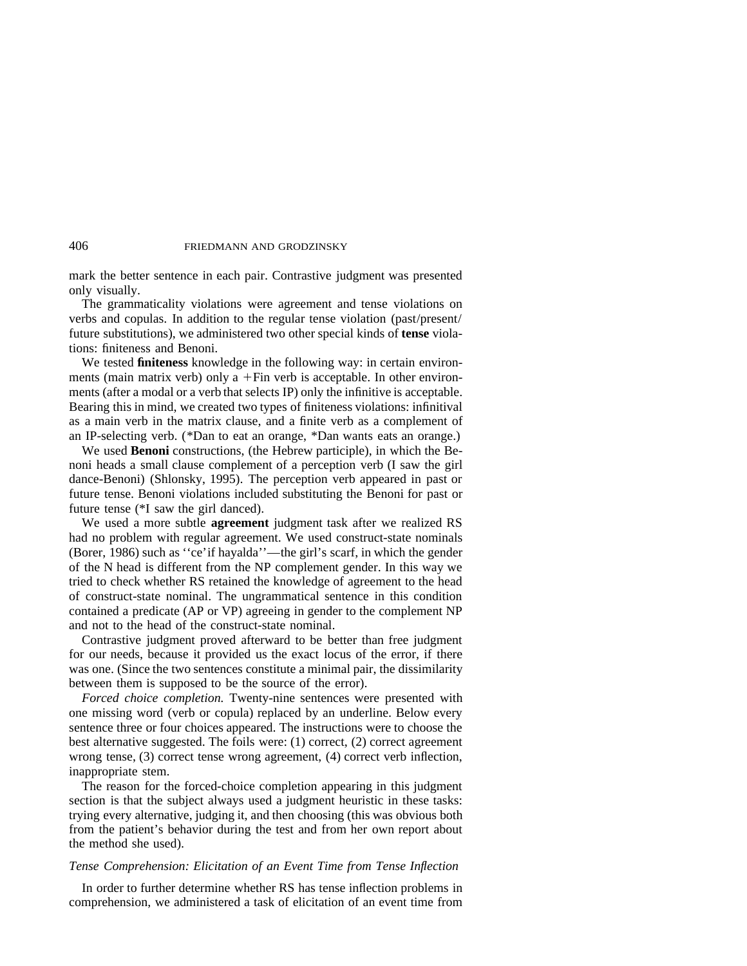mark the better sentence in each pair. Contrastive judgment was presented only visually.

The grammaticality violations were agreement and tense violations on verbs and copulas. In addition to the regular tense violation (past/present/ future substitutions), we administered two other special kinds of **tense** violations: finiteness and Benoni.

We tested **finiteness** knowledge in the following way: in certain environments (main matrix verb) only a  $+$ Fin verb is acceptable. In other environments (after a modal or a verb that selects IP) only the infinitive is acceptable. Bearing this in mind, we created two types of finiteness violations: infinitival as a main verb in the matrix clause, and a finite verb as a complement of an IP-selecting verb. (\*Dan to eat an orange, \*Dan wants eats an orange.)

We used **Benoni** constructions, (the Hebrew participle), in which the Benoni heads a small clause complement of a perception verb (I saw the girl dance-Benoni) (Shlonsky, 1995). The perception verb appeared in past or future tense. Benoni violations included substituting the Benoni for past or future tense (\*I saw the girl danced).

We used a more subtle **agreement** judgment task after we realized RS had no problem with regular agreement. We used construct-state nominals (Borer, 1986) such as ''ce'if hayalda''—the girl's scarf, in which the gender of the N head is different from the NP complement gender. In this way we tried to check whether RS retained the knowledge of agreement to the head of construct-state nominal. The ungrammatical sentence in this condition contained a predicate (AP or VP) agreeing in gender to the complement NP and not to the head of the construct-state nominal.

Contrastive judgment proved afterward to be better than free judgment for our needs, because it provided us the exact locus of the error, if there was one. (Since the two sentences constitute a minimal pair, the dissimilarity between them is supposed to be the source of the error).

*Forced choice completion.* Twenty-nine sentences were presented with one missing word (verb or copula) replaced by an underline. Below every sentence three or four choices appeared. The instructions were to choose the best alternative suggested. The foils were: (1) correct, (2) correct agreement wrong tense, (3) correct tense wrong agreement, (4) correct verb inflection, inappropriate stem.

The reason for the forced-choice completion appearing in this judgment section is that the subject always used a judgment heuristic in these tasks: trying every alternative, judging it, and then choosing (this was obvious both from the patient's behavior during the test and from her own report about the method she used).

# *Tense Comprehension: Elicitation of an Event Time from Tense Inflection*

In order to further determine whether RS has tense inflection problems in comprehension, we administered a task of elicitation of an event time from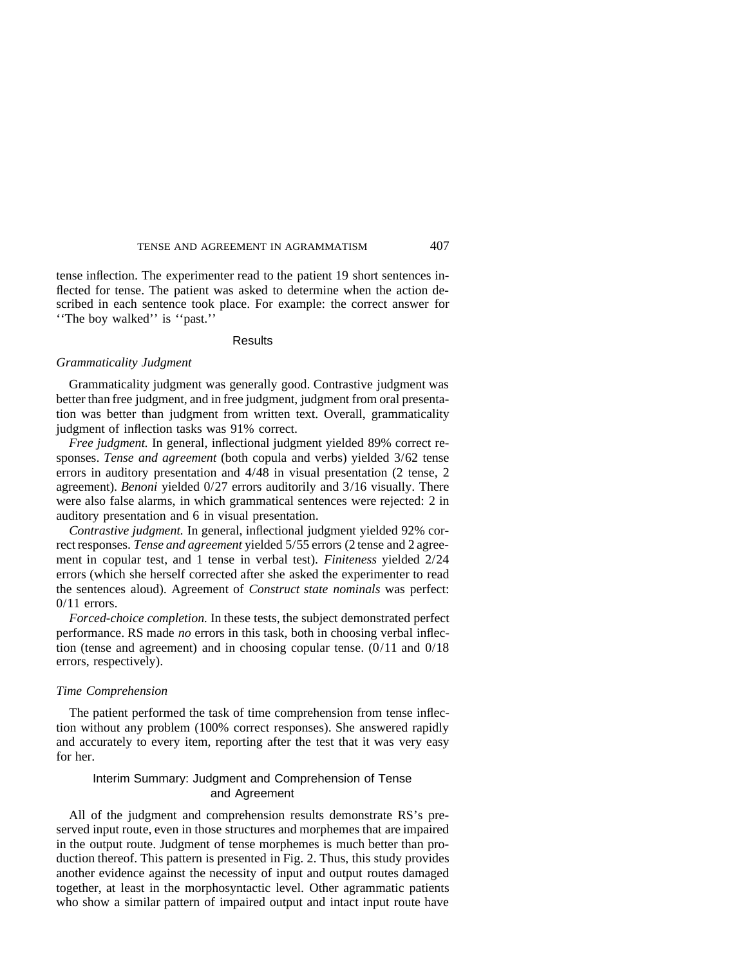tense inflection. The experimenter read to the patient 19 short sentences inflected for tense. The patient was asked to determine when the action described in each sentence took place. For example: the correct answer for ''The boy walked'' is ''past.''

#### **Results**

#### *Grammaticality Judgment*

Grammaticality judgment was generally good. Contrastive judgment was better than free judgment, and in free judgment, judgment from oral presentation was better than judgment from written text. Overall, grammaticality judgment of inflection tasks was 91% correct.

*Free judgment.* In general, inflectional judgment yielded 89% correct responses. *Tense and agreement* (both copula and verbs) yielded 3/62 tense errors in auditory presentation and  $4/48$  in visual presentation (2 tense, 2 agreement). *Benoni* yielded 0/27 errors auditorily and 3/16 visually. There were also false alarms, in which grammatical sentences were rejected: 2 in auditory presentation and 6 in visual presentation.

*Contrastive judgment.* In general, inflectional judgment yielded 92% correct responses. *Tense and agreement* yielded 5/55 errors (2 tense and 2 agreement in copular test, and 1 tense in verbal test). *Finiteness* yielded 2/24 errors (which she herself corrected after she asked the experimenter to read the sentences aloud). Agreement of *Construct state nominals* was perfect:  $0/11$  errors.

*Forced-choice completion.* In these tests, the subject demonstrated perfect performance. RS made *no* errors in this task, both in choosing verbal inflection (tense and agreement) and in choosing copular tense.  $(0/11$  and  $0/18$ errors, respectively).

# *Time Comprehension*

The patient performed the task of time comprehension from tense inflection without any problem (100% correct responses). She answered rapidly and accurately to every item, reporting after the test that it was very easy for her.

# Interim Summary: Judgment and Comprehension of Tense and Agreement

All of the judgment and comprehension results demonstrate RS's preserved input route, even in those structures and morphemes that are impaired in the output route. Judgment of tense morphemes is much better than production thereof. This pattern is presented in Fig. 2. Thus, this study provides another evidence against the necessity of input and output routes damaged together, at least in the morphosyntactic level. Other agrammatic patients who show a similar pattern of impaired output and intact input route have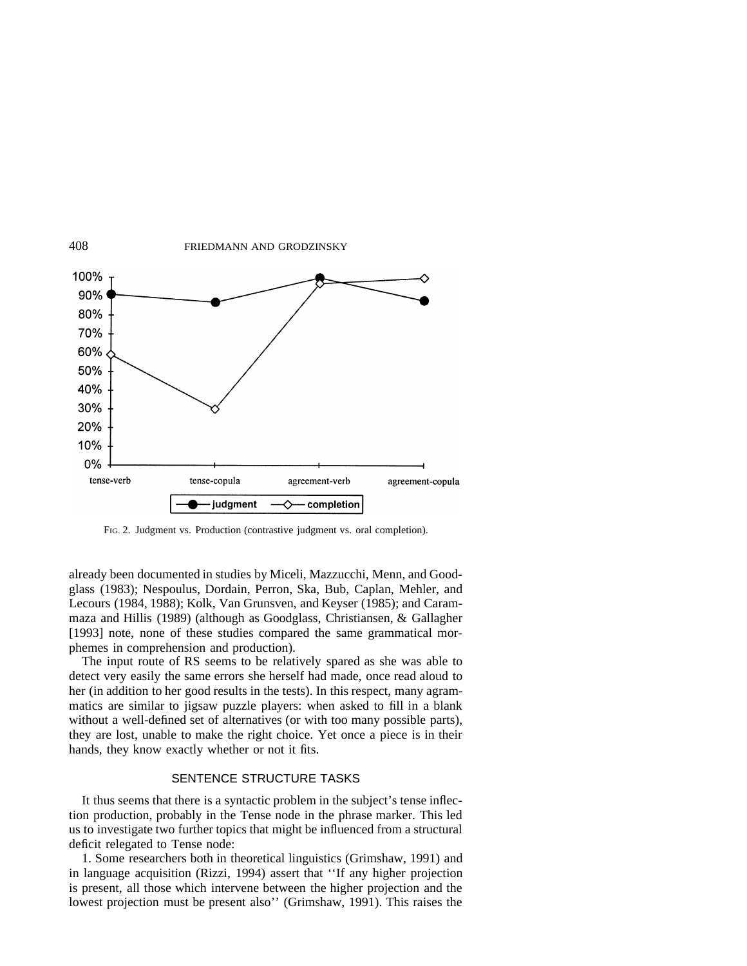

FIG. 2. Judgment vs. Production (contrastive judgment vs. oral completion).

already been documented in studies by Miceli, Mazzucchi, Menn, and Goodglass (1983); Nespoulus, Dordain, Perron, Ska, Bub, Caplan, Mehler, and Lecours (1984, 1988); Kolk, Van Grunsven, and Keyser (1985); and Carammaza and Hillis (1989) (although as Goodglass, Christiansen, & Gallagher [1993] note, none of these studies compared the same grammatical morphemes in comprehension and production).

The input route of RS seems to be relatively spared as she was able to detect very easily the same errors she herself had made, once read aloud to her (in addition to her good results in the tests). In this respect, many agrammatics are similar to jigsaw puzzle players: when asked to fill in a blank without a well-defined set of alternatives (or with too many possible parts), they are lost, unable to make the right choice. Yet once a piece is in their hands, they know exactly whether or not it fits.

# SENTENCE STRUCTURE TASKS

It thus seems that there is a syntactic problem in the subject's tense inflection production, probably in the Tense node in the phrase marker. This led us to investigate two further topics that might be influenced from a structural deficit relegated to Tense node:

1. Some researchers both in theoretical linguistics (Grimshaw, 1991) and in language acquisition (Rizzi, 1994) assert that ''If any higher projection is present, all those which intervene between the higher projection and the lowest projection must be present also'' (Grimshaw, 1991). This raises the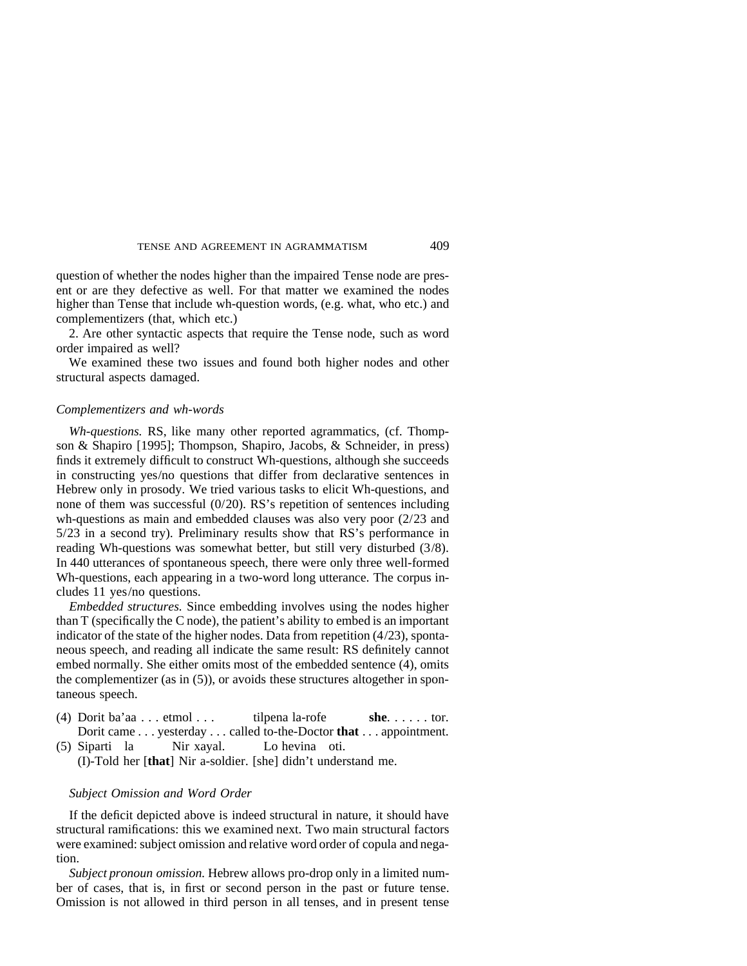question of whether the nodes higher than the impaired Tense node are present or are they defective as well. For that matter we examined the nodes higher than Tense that include wh-question words, (e.g. what, who etc.) and complementizers (that, which etc.)

2. Are other syntactic aspects that require the Tense node, such as word order impaired as well?

We examined these two issues and found both higher nodes and other structural aspects damaged.

### *Complementizers and wh-words*

*Wh-questions.* RS, like many other reported agrammatics, (cf. Thompson & Shapiro [1995]; Thompson, Shapiro, Jacobs, & Schneider, in press) finds it extremely difficult to construct Wh-questions, although she succeeds in constructing yes/no questions that differ from declarative sentences in Hebrew only in prosody. We tried various tasks to elicit Wh-questions, and none of them was successful (0/20). RS's repetition of sentences including wh-questions as main and embedded clauses was also very poor (2/23 and 5/23 in a second try). Preliminary results show that RS's performance in reading Wh-questions was somewhat better, but still very disturbed (3/8). In 440 utterances of spontaneous speech, there were only three well-formed Wh-questions, each appearing in a two-word long utterance. The corpus includes 11 yes/no questions.

*Embedded structures.* Since embedding involves using the nodes higher than T (specifically the C node), the patient's ability to embed is an important indicator of the state of the higher nodes. Data from repetition (4/23), spontaneous speech, and reading all indicate the same result: RS definitely cannot embed normally. She either omits most of the embedded sentence (4), omits the complementizer (as in (5)), or avoids these structures altogether in spontaneous speech.

- (4) Dorit ba'aa . . . etmol . . . tilpena la-rofe **she**...... tor. Dorit came . . . yesterday . . . called to-the-Doctor **that** . . . appointment.<br>Siparti la Nir xaval. Lo hevina oti.
- (5) Siparti la Nir xayal. Lo hevina oti. (I)-Told her [**that**] Nir a-soldier. [she] didn't understand me.

#### *Subject Omission and Word Order*

If the deficit depicted above is indeed structural in nature, it should have structural ramifications: this we examined next. Two main structural factors were examined: subject omission and relative word order of copula and negation.

*Subject pronoun omission.* Hebrew allows pro-drop only in a limited number of cases, that is, in first or second person in the past or future tense. Omission is not allowed in third person in all tenses, and in present tense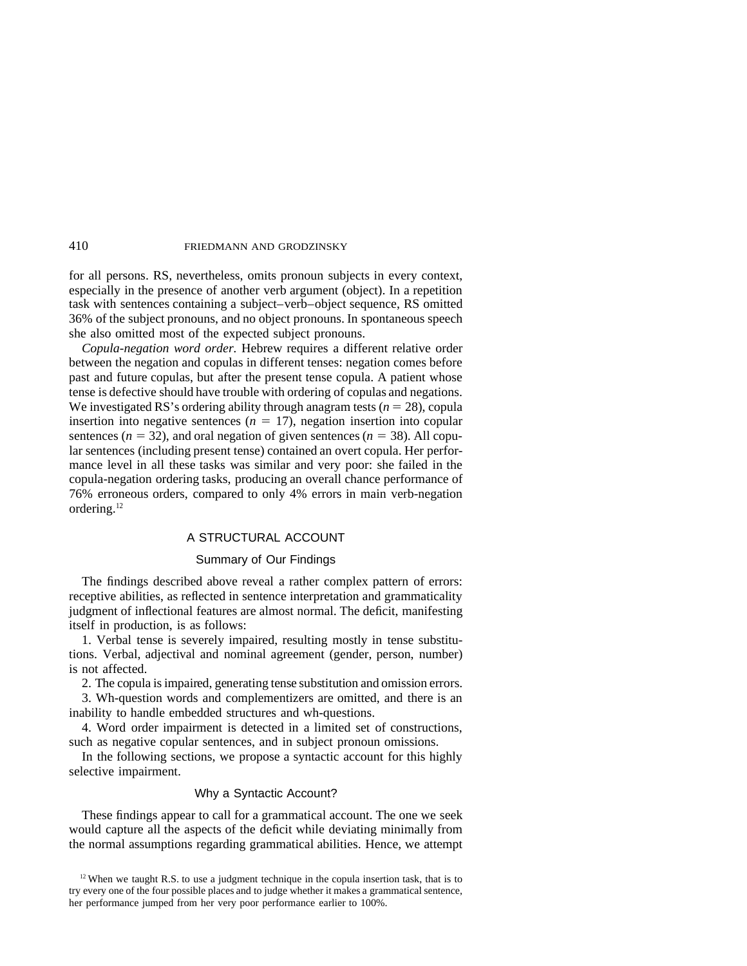for all persons. RS, nevertheless, omits pronoun subjects in every context, especially in the presence of another verb argument (object). In a repetition task with sentences containing a subject–verb–object sequence, RS omitted 36% of the subject pronouns, and no object pronouns. In spontaneous speech she also omitted most of the expected subject pronouns.

*Copula-negation word order.* Hebrew requires a different relative order between the negation and copulas in different tenses: negation comes before past and future copulas, but after the present tense copula. A patient whose tense is defective should have trouble with ordering of copulas and negations. We investigated RS's ordering ability through anagram tests  $(n = 28)$ , copula insertion into negative sentences  $(n = 17)$ , negation insertion into copular sentences ( $n = 32$ ), and oral negation of given sentences ( $n = 38$ ). All copular sentences (including present tense) contained an overt copula. Her performance level in all these tasks was similar and very poor: she failed in the copula-negation ordering tasks, producing an overall chance performance of 76% erroneous orders, compared to only 4% errors in main verb-negation ordering.12

# A STRUCTURAL ACCOUNT

# Summary of Our Findings

The findings described above reveal a rather complex pattern of errors: receptive abilities, as reflected in sentence interpretation and grammaticality judgment of inflectional features are almost normal. The deficit, manifesting itself in production, is as follows:

1. Verbal tense is severely impaired, resulting mostly in tense substitutions. Verbal, adjectival and nominal agreement (gender, person, number) is not affected.

2. The copula is impaired, generating tense substitution and omission errors.

3. Wh-question words and complementizers are omitted, and there is an inability to handle embedded structures and wh-questions.

4. Word order impairment is detected in a limited set of constructions, such as negative copular sentences, and in subject pronoun omissions.

In the following sections, we propose a syntactic account for this highly selective impairment.

# Why a Syntactic Account?

These findings appear to call for a grammatical account. The one we seek would capture all the aspects of the deficit while deviating minimally from the normal assumptions regarding grammatical abilities. Hence, we attempt

 $12$  When we taught R.S. to use a judgment technique in the copula insertion task, that is to try every one of the four possible places and to judge whether it makes a grammatical sentence, her performance jumped from her very poor performance earlier to 100%.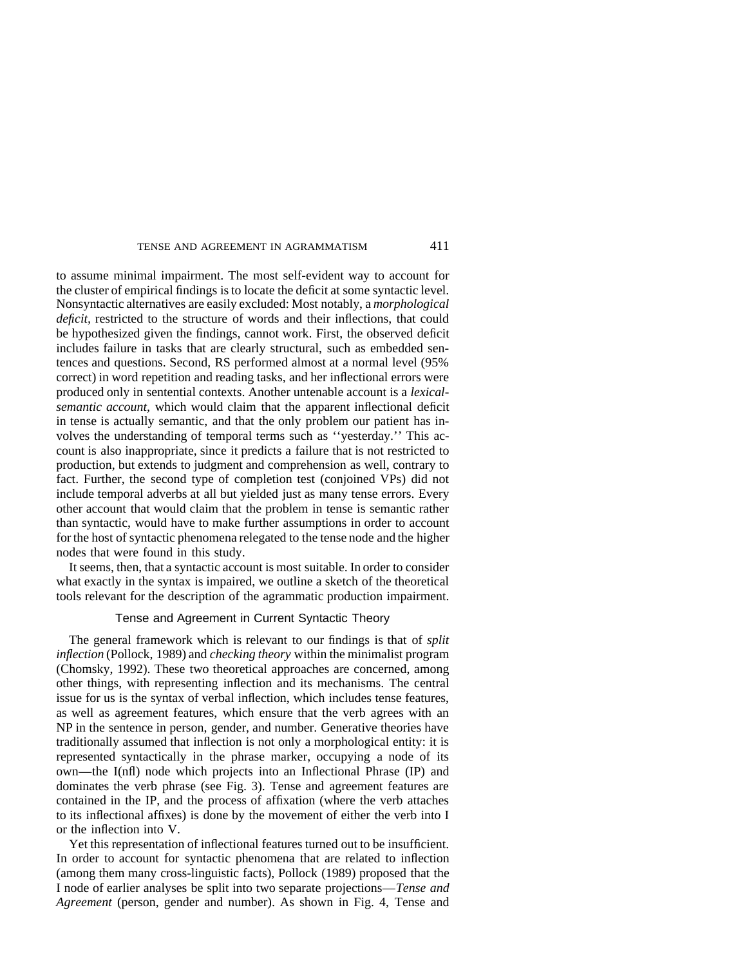to assume minimal impairment. The most self-evident way to account for the cluster of empirical findings is to locate the deficit at some syntactic level. Nonsyntactic alternatives are easily excluded: Most notably, a *morphological deficit,* restricted to the structure of words and their inflections, that could be hypothesized given the findings, cannot work. First, the observed deficit includes failure in tasks that are clearly structural, such as embedded sentences and questions. Second, RS performed almost at a normal level (95% correct) in word repetition and reading tasks, and her inflectional errors were produced only in sentential contexts. Another untenable account is a *lexicalsemantic account,* which would claim that the apparent inflectional deficit in tense is actually semantic, and that the only problem our patient has involves the understanding of temporal terms such as ''yesterday.'' This account is also inappropriate, since it predicts a failure that is not restricted to production, but extends to judgment and comprehension as well, contrary to fact. Further, the second type of completion test (conjoined VPs) did not include temporal adverbs at all but yielded just as many tense errors. Every other account that would claim that the problem in tense is semantic rather than syntactic, would have to make further assumptions in order to account for the host of syntactic phenomena relegated to the tense node and the higher nodes that were found in this study.

It seems, then, that a syntactic account is most suitable. In order to consider what exactly in the syntax is impaired, we outline a sketch of the theoretical tools relevant for the description of the agrammatic production impairment.

# Tense and Agreement in Current Syntactic Theory

The general framework which is relevant to our findings is that of *split inflection* (Pollock, 1989) and *checking theory* within the minimalist program (Chomsky, 1992). These two theoretical approaches are concerned, among other things, with representing inflection and its mechanisms. The central issue for us is the syntax of verbal inflection, which includes tense features, as well as agreement features, which ensure that the verb agrees with an NP in the sentence in person, gender, and number. Generative theories have traditionally assumed that inflection is not only a morphological entity: it is represented syntactically in the phrase marker, occupying a node of its own—the I(nfl) node which projects into an Inflectional Phrase (IP) and dominates the verb phrase (see Fig. 3). Tense and agreement features are contained in the IP, and the process of affixation (where the verb attaches to its inflectional affixes) is done by the movement of either the verb into I or the inflection into V.

Yet this representation of inflectional features turned out to be insufficient. In order to account for syntactic phenomena that are related to inflection (among them many cross-linguistic facts), Pollock (1989) proposed that the I node of earlier analyses be split into two separate projections—*Tense and Agreement* (person, gender and number). As shown in Fig. 4, Tense and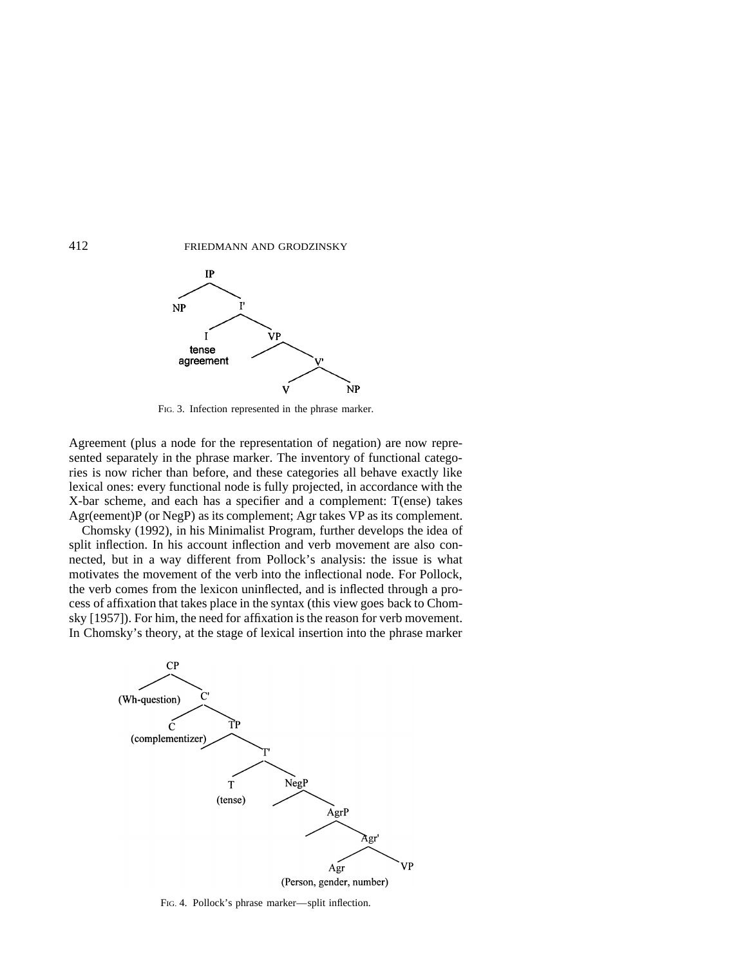

FIG. 3. Infection represented in the phrase marker.

Agreement (plus a node for the representation of negation) are now represented separately in the phrase marker. The inventory of functional categories is now richer than before, and these categories all behave exactly like lexical ones: every functional node is fully projected, in accordance with the X-bar scheme, and each has a specifier and a complement: T(ense) takes Agr(eement)P (or NegP) as its complement; Agr takes VP as its complement.

Chomsky (1992), in his Minimalist Program, further develops the idea of split inflection. In his account inflection and verb movement are also connected, but in a way different from Pollock's analysis: the issue is what motivates the movement of the verb into the inflectional node. For Pollock, the verb comes from the lexicon uninflected, and is inflected through a process of affixation that takes place in the syntax (this view goes back to Chomsky [1957]). For him, the need for affixation is the reason for verb movement. In Chomsky's theory, at the stage of lexical insertion into the phrase marker



FIG. 4. Pollock's phrase marker—split inflection.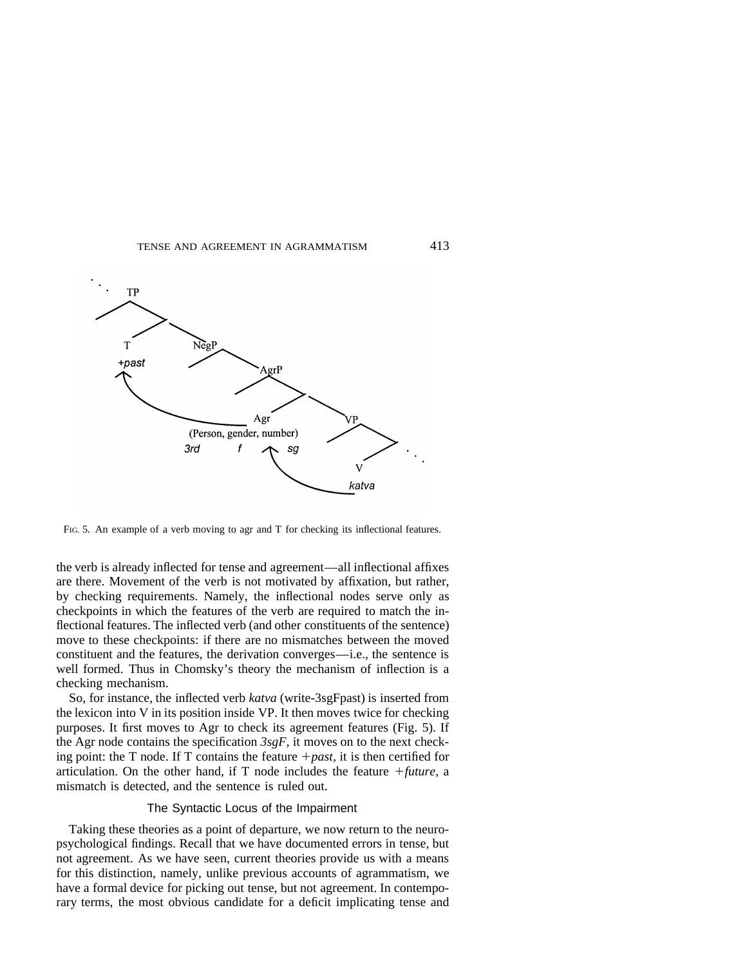

FIG. 5. An example of a verb moving to agr and T for checking its inflectional features.

the verb is already inflected for tense and agreement—all inflectional affixes are there. Movement of the verb is not motivated by affixation, but rather, by checking requirements. Namely, the inflectional nodes serve only as checkpoints in which the features of the verb are required to match the inflectional features. The inflected verb (and other constituents of the sentence) move to these checkpoints: if there are no mismatches between the moved constituent and the features, the derivation converges—i.e., the sentence is well formed. Thus in Chomsky's theory the mechanism of inflection is a checking mechanism.

So, for instance, the inflected verb *katva* (write-3sgFpast) is inserted from the lexicon into V in its position inside VP. It then moves twice for checking purposes. It first moves to Agr to check its agreement features (Fig. 5). If the Agr node contains the specification *3sgF,* it moves on to the next checking point: the T node. If T contains the feature  $+$ *past*, it is then certified for articulation. On the other hand, if  $T$  node includes the feature  $+$ *future*, a mismatch is detected, and the sentence is ruled out.

# The Syntactic Locus of the Impairment

Taking these theories as a point of departure, we now return to the neuropsychological findings. Recall that we have documented errors in tense, but not agreement. As we have seen, current theories provide us with a means for this distinction, namely, unlike previous accounts of agrammatism, we have a formal device for picking out tense, but not agreement. In contemporary terms, the most obvious candidate for a deficit implicating tense and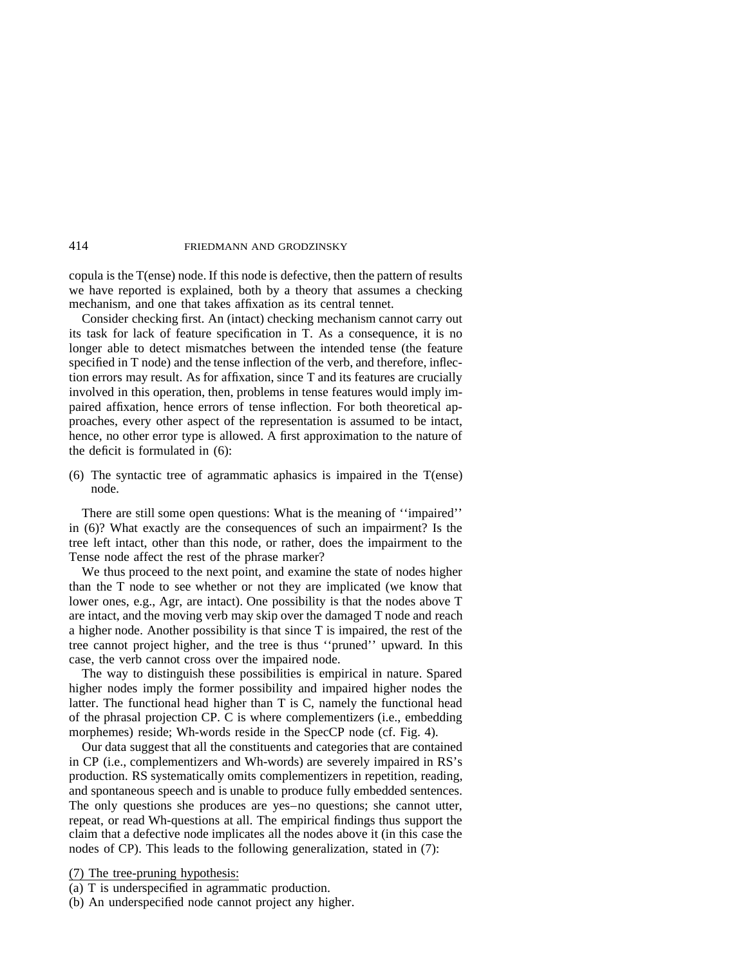copula is the T(ense) node. If this node is defective, then the pattern of results we have reported is explained, both by a theory that assumes a checking mechanism, and one that takes affixation as its central tennet.

Consider checking first. An (intact) checking mechanism cannot carry out its task for lack of feature specification in T. As a consequence, it is no longer able to detect mismatches between the intended tense (the feature specified in T node) and the tense inflection of the verb, and therefore, inflection errors may result. As for affixation, since T and its features are crucially involved in this operation, then, problems in tense features would imply impaired affixation, hence errors of tense inflection. For both theoretical approaches, every other aspect of the representation is assumed to be intact, hence, no other error type is allowed. A first approximation to the nature of the deficit is formulated in (6):

(6) The syntactic tree of agrammatic aphasics is impaired in the T(ense) node.

There are still some open questions: What is the meaning of ''impaired'' in (6)? What exactly are the consequences of such an impairment? Is the tree left intact, other than this node, or rather, does the impairment to the Tense node affect the rest of the phrase marker?

We thus proceed to the next point, and examine the state of nodes higher than the T node to see whether or not they are implicated (we know that lower ones, e.g., Agr, are intact). One possibility is that the nodes above T are intact, and the moving verb may skip over the damaged T node and reach a higher node. Another possibility is that since T is impaired, the rest of the tree cannot project higher, and the tree is thus ''pruned'' upward. In this case, the verb cannot cross over the impaired node.

The way to distinguish these possibilities is empirical in nature. Spared higher nodes imply the former possibility and impaired higher nodes the latter. The functional head higher than T is C, namely the functional head of the phrasal projection CP. C is where complementizers (i.e., embedding morphemes) reside; Wh-words reside in the SpecCP node (cf. Fig. 4).

Our data suggest that all the constituents and categories that are contained in CP (i.e., complementizers and Wh-words) are severely impaired in RS's production. RS systematically omits complementizers in repetition, reading, and spontaneous speech and is unable to produce fully embedded sentences. The only questions she produces are yes–no questions; she cannot utter, repeat, or read Wh-questions at all. The empirical findings thus support the claim that a defective node implicates all the nodes above it (in this case the nodes of CP). This leads to the following generalization, stated in (7):

(7) The tree-pruning hypothesis:

- (a) T is underspecified in agrammatic production.
- (b) An underspecified node cannot project any higher.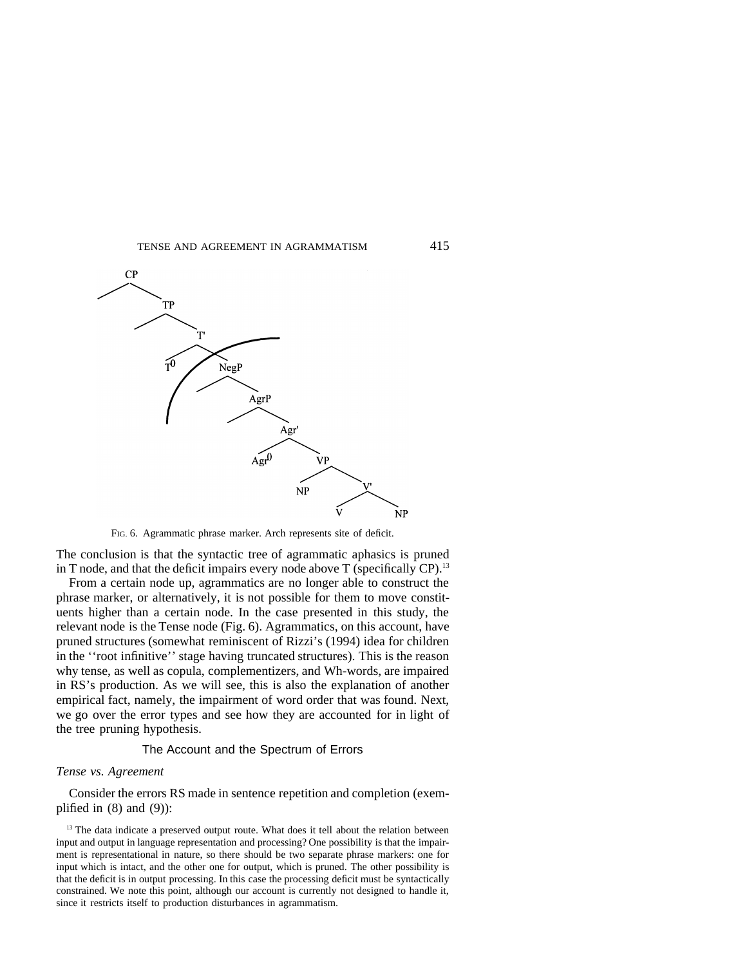

FIG. 6. Agrammatic phrase marker. Arch represents site of deficit.

The conclusion is that the syntactic tree of agrammatic aphasics is pruned in T node, and that the deficit impairs every node above  $T$  (specifically CP).<sup>13</sup>

From a certain node up, agrammatics are no longer able to construct the phrase marker, or alternatively, it is not possible for them to move constituents higher than a certain node. In the case presented in this study, the relevant node is the Tense node (Fig. 6). Agrammatics, on this account, have pruned structures (somewhat reminiscent of Rizzi's (1994) idea for children in the ''root infinitive'' stage having truncated structures). This is the reason why tense, as well as copula, complementizers, and Wh-words, are impaired in RS's production. As we will see, this is also the explanation of another empirical fact, namely, the impairment of word order that was found. Next, we go over the error types and see how they are accounted for in light of the tree pruning hypothesis.

# The Account and the Spectrum of Errors

#### *Tense vs. Agreement*

Consider the errors RS made in sentence repetition and completion (exemplified in  $(8)$  and  $(9)$ :

<sup>13</sup> The data indicate a preserved output route. What does it tell about the relation between input and output in language representation and processing? One possibility is that the impairment is representational in nature, so there should be two separate phrase markers: one for input which is intact, and the other one for output, which is pruned. The other possibility is that the deficit is in output processing. In this case the processing deficit must be syntactically constrained. We note this point, although our account is currently not designed to handle it, since it restricts itself to production disturbances in agrammatism.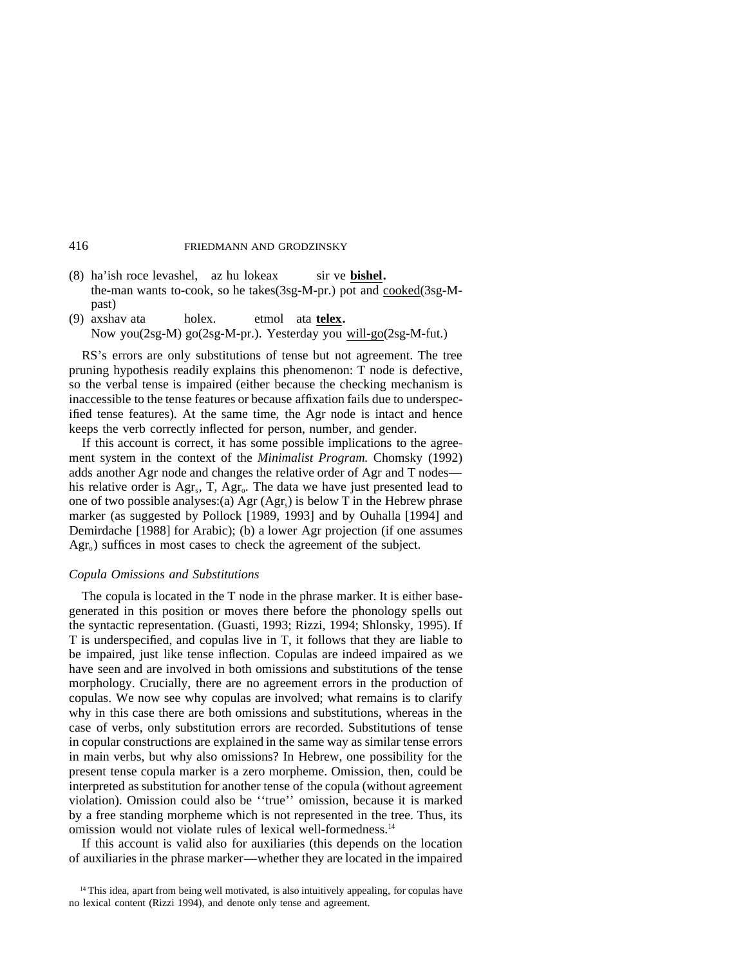- (8) ha'ish roce levashel, az hu lokeax sir ve **bishel.** the-man wants to-cook, so he takes(3sg-M-pr.) pot and cooked(3sg-Mpast)
- (9) axshav ata holex. etmol ata **telex.** Now you(2sg-M) go(2sg-M-pr.). Yesterday you will-go(2sg-M-fut.)

RS's errors are only substitutions of tense but not agreement. The tree pruning hypothesis readily explains this phenomenon: T node is defective, so the verbal tense is impaired (either because the checking mechanism is inaccessible to the tense features or because affixation fails due to underspecified tense features). At the same time, the Agr node is intact and hence keeps the verb correctly inflected for person, number, and gender.

If this account is correct, it has some possible implications to the agreement system in the context of the *Minimalist Program.* Chomsky (1992) adds another Agr node and changes the relative order of Agr and T nodes his relative order is  $Agr_s$ , T,  $Agr_s$ . The data we have just presented lead to one of two possible analyses:(a) Agr (Agr<sub>s</sub>) is below T in the Hebrew phrase marker (as suggested by Pollock [1989, 1993] and by Ouhalla [1994] and Demirdache [1988] for Arabic); (b) a lower Agr projection (if one assumes  $\text{Agr}_{0}$ ) suffices in most cases to check the agreement of the subject.

# *Copula Omissions and Substitutions*

The copula is located in the T node in the phrase marker. It is either basegenerated in this position or moves there before the phonology spells out the syntactic representation. (Guasti, 1993; Rizzi, 1994; Shlonsky, 1995). If T is underspecified, and copulas live in T, it follows that they are liable to be impaired, just like tense inflection. Copulas are indeed impaired as we have seen and are involved in both omissions and substitutions of the tense morphology. Crucially, there are no agreement errors in the production of copulas. We now see why copulas are involved; what remains is to clarify why in this case there are both omissions and substitutions, whereas in the case of verbs, only substitution errors are recorded. Substitutions of tense in copular constructions are explained in the same way as similar tense errors in main verbs, but why also omissions? In Hebrew, one possibility for the present tense copula marker is a zero morpheme. Omission, then, could be interpreted as substitution for another tense of the copula (without agreement violation). Omission could also be ''true'' omission, because it is marked by a free standing morpheme which is not represented in the tree. Thus, its omission would not violate rules of lexical well-formedness.<sup>14</sup>

If this account is valid also for auxiliaries (this depends on the location of auxiliaries in the phrase marker—whether they are located in the impaired

 $14$  This idea, apart from being well motivated, is also intuitively appealing, for copulas have no lexical content (Rizzi 1994), and denote only tense and agreement.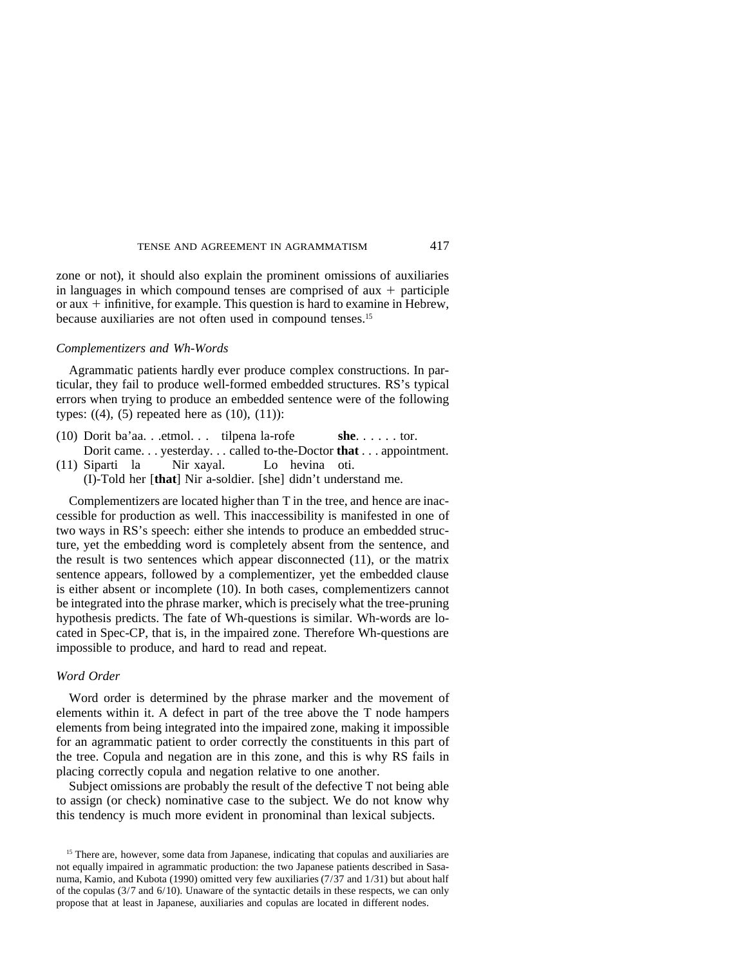zone or not), it should also explain the prominent omissions of auxiliaries in languages in which compound tenses are comprised of aux  $+$  participle or  $aux +$  infinitive, for example. This question is hard to examine in Hebrew, because auxiliaries are not often used in compound tenses.<sup>15</sup>

### *Complementizers and Wh-Words*

Agrammatic patients hardly ever produce complex constructions. In particular, they fail to produce well-formed embedded structures. RS's typical errors when trying to produce an embedded sentence were of the following types:  $((4), (5)$  repeated here as  $(10), (11)$ :

- (10) Dorit ba'aa. . .etmol. . . tilpena la-rofe **she**...... tor. Dorit came. . . yesterday. . . called to-the-Doctor **that** . . . appointment.<br>Siparti la Nir xaval. Lo hevina oti.
- (11) Siparti la Nir xayal. Lo hevina oti. (I)-Told her [**that**] Nir a-soldier. [she] didn't understand me.

Complementizers are located higher than T in the tree, and hence are inaccessible for production as well. This inaccessibility is manifested in one of two ways in RS's speech: either she intends to produce an embedded structure, yet the embedding word is completely absent from the sentence, and the result is two sentences which appear disconnected (11), or the matrix sentence appears, followed by a complementizer, yet the embedded clause is either absent or incomplete (10). In both cases, complementizers cannot be integrated into the phrase marker, which is precisely what the tree-pruning hypothesis predicts. The fate of Wh-questions is similar. Wh-words are located in Spec-CP, that is, in the impaired zone. Therefore Wh-questions are impossible to produce, and hard to read and repeat.

### *Word Order*

Word order is determined by the phrase marker and the movement of elements within it. A defect in part of the tree above the T node hampers elements from being integrated into the impaired zone, making it impossible for an agrammatic patient to order correctly the constituents in this part of the tree. Copula and negation are in this zone, and this is why RS fails in placing correctly copula and negation relative to one another.

Subject omissions are probably the result of the defective T not being able to assign (or check) nominative case to the subject. We do not know why this tendency is much more evident in pronominal than lexical subjects.

<sup>15</sup> There are, however, some data from Japanese, indicating that copulas and auxiliaries are not equally impaired in agrammatic production: the two Japanese patients described in Sasanuma, Kamio, and Kubota (1990) omitted very few auxiliaries (7/37 and 1/31) but about half of the copulas  $(3/7 \text{ and } 6/10)$ . Unaware of the syntactic details in these respects, we can only propose that at least in Japanese, auxiliaries and copulas are located in different nodes.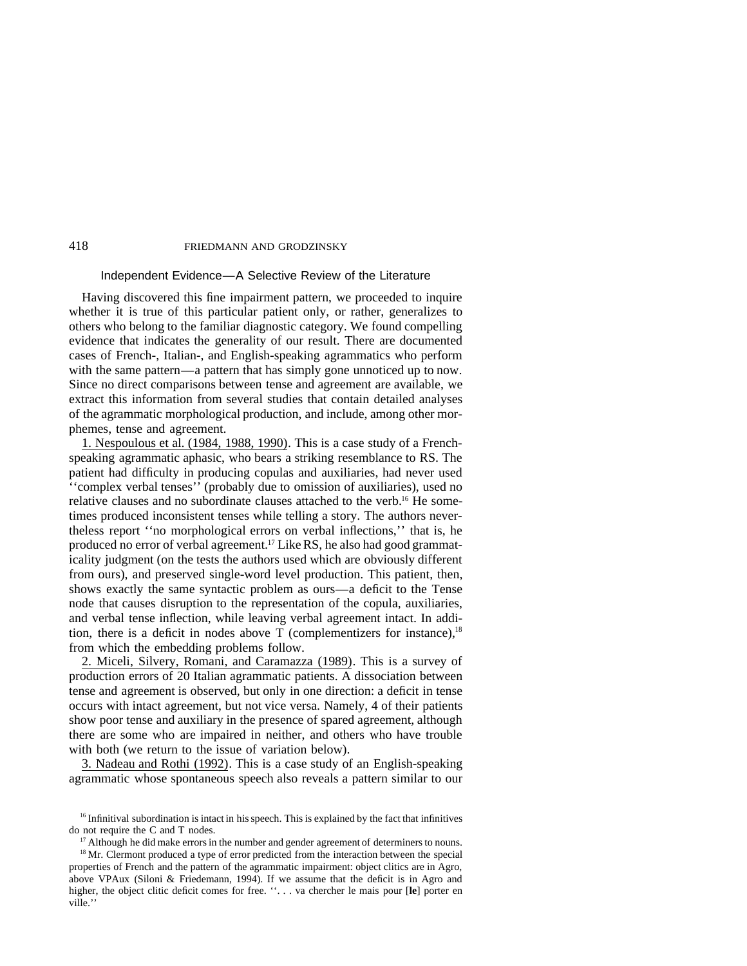# Independent Evidence—A Selective Review of the Literature

Having discovered this fine impairment pattern, we proceeded to inquire whether it is true of this particular patient only, or rather, generalizes to others who belong to the familiar diagnostic category. We found compelling evidence that indicates the generality of our result. There are documented cases of French-, Italian-, and English-speaking agrammatics who perform with the same pattern—a pattern that has simply gone unnoticed up to now. Since no direct comparisons between tense and agreement are available, we extract this information from several studies that contain detailed analyses of the agrammatic morphological production, and include, among other morphemes, tense and agreement.

1. Nespoulous et al. (1984, 1988, 1990). This is a case study of a Frenchspeaking agrammatic aphasic, who bears a striking resemblance to RS. The patient had difficulty in producing copulas and auxiliaries, had never used ''complex verbal tenses'' (probably due to omission of auxiliaries), used no relative clauses and no subordinate clauses attached to the verb.16 He sometimes produced inconsistent tenses while telling a story. The authors nevertheless report ''no morphological errors on verbal inflections,'' that is, he produced no error of verbal agreement.17 Like RS, he also had good grammaticality judgment (on the tests the authors used which are obviously different from ours), and preserved single-word level production. This patient, then, shows exactly the same syntactic problem as ours—a deficit to the Tense node that causes disruption to the representation of the copula, auxiliaries, and verbal tense inflection, while leaving verbal agreement intact. In addition, there is a deficit in nodes above  $T$  (complementizers for instance),<sup>18</sup> from which the embedding problems follow.

2. Miceli, Silvery, Romani, and Caramazza (1989). This is a survey of production errors of 20 Italian agrammatic patients. A dissociation between tense and agreement is observed, but only in one direction: a deficit in tense occurs with intact agreement, but not vice versa. Namely, 4 of their patients show poor tense and auxiliary in the presence of spared agreement, although there are some who are impaired in neither, and others who have trouble with both (we return to the issue of variation below).

3. Nadeau and Rothi (1992). This is a case study of an English-speaking agrammatic whose spontaneous speech also reveals a pattern similar to our

<sup>17</sup> Although he did make errors in the number and gender agreement of determiners to nouns.

<sup>18</sup> Mr. Clermont produced a type of error predicted from the interaction between the special properties of French and the pattern of the agrammatic impairment: object clitics are in Agro, above VPAux (Siloni & Friedemann, 1994). If we assume that the deficit is in Agro and higher, the object clitic deficit comes for free. ''. . . va chercher le mais pour [**le**] porter en ville.''

<sup>&</sup>lt;sup>16</sup> Infinitival subordination is intact in his speech. This is explained by the fact that infinitives do not require the C and T nodes.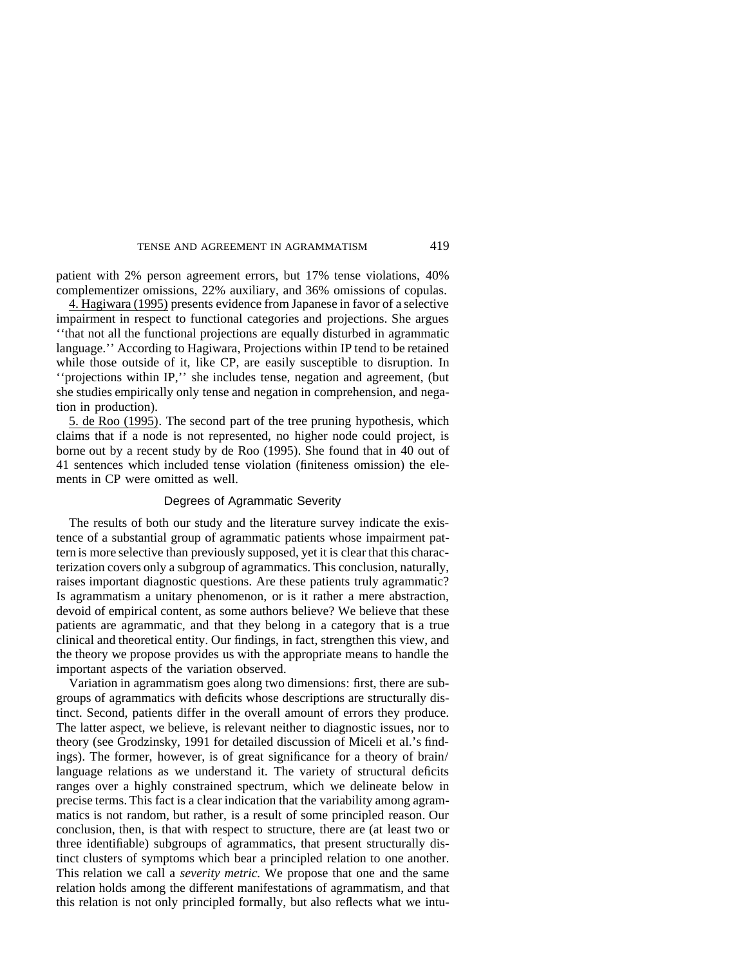patient with 2% person agreement errors, but 17% tense violations, 40% complementizer omissions, 22% auxiliary, and 36% omissions of copulas.

4. Hagiwara (1995) presents evidence from Japanese in favor of a selective impairment in respect to functional categories and projections. She argues ''that not all the functional projections are equally disturbed in agrammatic language.'' According to Hagiwara, Projections within IP tend to be retained while those outside of it, like CP, are easily susceptible to disruption. In ''projections within IP,'' she includes tense, negation and agreement, (but she studies empirically only tense and negation in comprehension, and negation in production).

5. de Roo (1995). The second part of the tree pruning hypothesis, which claims that if a node is not represented, no higher node could project, is borne out by a recent study by de Roo (1995). She found that in 40 out of 41 sentences which included tense violation (finiteness omission) the elements in CP were omitted as well.

# Degrees of Agrammatic Severity

The results of both our study and the literature survey indicate the existence of a substantial group of agrammatic patients whose impairment pattern is more selective than previously supposed, yet it is clear that this characterization covers only a subgroup of agrammatics. This conclusion, naturally, raises important diagnostic questions. Are these patients truly agrammatic? Is agrammatism a unitary phenomenon, or is it rather a mere abstraction, devoid of empirical content, as some authors believe? We believe that these patients are agrammatic, and that they belong in a category that is a true clinical and theoretical entity. Our findings, in fact, strengthen this view, and the theory we propose provides us with the appropriate means to handle the important aspects of the variation observed.

Variation in agrammatism goes along two dimensions: first, there are subgroups of agrammatics with deficits whose descriptions are structurally distinct. Second, patients differ in the overall amount of errors they produce. The latter aspect, we believe, is relevant neither to diagnostic issues, nor to theory (see Grodzinsky, 1991 for detailed discussion of Miceli et al.'s findings). The former, however, is of great significance for a theory of brain/ language relations as we understand it. The variety of structural deficits ranges over a highly constrained spectrum, which we delineate below in precise terms. This fact is a clear indication that the variability among agrammatics is not random, but rather, is a result of some principled reason. Our conclusion, then, is that with respect to structure, there are (at least two or three identifiable) subgroups of agrammatics, that present structurally distinct clusters of symptoms which bear a principled relation to one another. This relation we call a *severity metric.* We propose that one and the same relation holds among the different manifestations of agrammatism, and that this relation is not only principled formally, but also reflects what we intu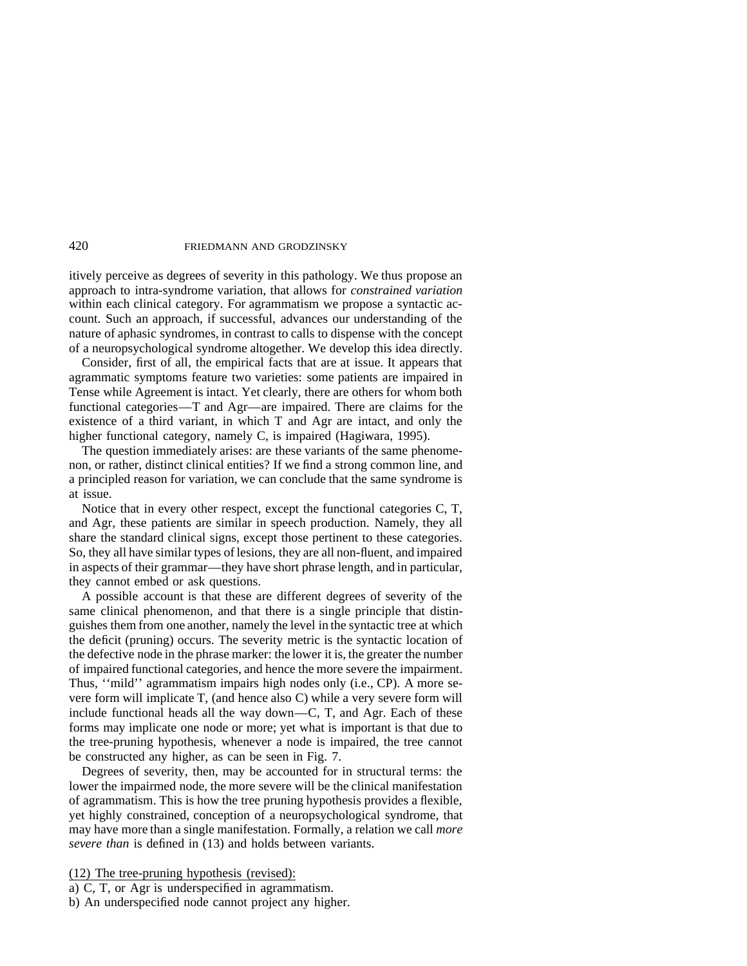itively perceive as degrees of severity in this pathology. We thus propose an approach to intra-syndrome variation, that allows for *constrained variation* within each clinical category. For agrammatism we propose a syntactic account. Such an approach, if successful, advances our understanding of the nature of aphasic syndromes, in contrast to calls to dispense with the concept of a neuropsychological syndrome altogether. We develop this idea directly.

Consider, first of all, the empirical facts that are at issue. It appears that agrammatic symptoms feature two varieties: some patients are impaired in Tense while Agreement is intact. Yet clearly, there are others for whom both functional categories—T and Agr—are impaired. There are claims for the existence of a third variant, in which T and Agr are intact, and only the higher functional category, namely C, is impaired (Hagiwara, 1995).

The question immediately arises: are these variants of the same phenomenon, or rather, distinct clinical entities? If we find a strong common line, and a principled reason for variation, we can conclude that the same syndrome is at issue.

Notice that in every other respect, except the functional categories C, T, and Agr, these patients are similar in speech production. Namely, they all share the standard clinical signs, except those pertinent to these categories. So, they all have similar types of lesions, they are all non-fluent, and impaired in aspects of their grammar—they have short phrase length, and in particular, they cannot embed or ask questions.

A possible account is that these are different degrees of severity of the same clinical phenomenon, and that there is a single principle that distinguishes them from one another, namely the level in the syntactic tree at which the deficit (pruning) occurs. The severity metric is the syntactic location of the defective node in the phrase marker: the lower it is, the greater the number of impaired functional categories, and hence the more severe the impairment. Thus, ''mild'' agrammatism impairs high nodes only (i.e., CP). A more severe form will implicate T, (and hence also C) while a very severe form will include functional heads all the way down—C, T, and Agr. Each of these forms may implicate one node or more; yet what is important is that due to the tree-pruning hypothesis, whenever a node is impaired, the tree cannot be constructed any higher, as can be seen in Fig. 7.

Degrees of severity, then, may be accounted for in structural terms: the lower the impairmed node, the more severe will be the clinical manifestation of agrammatism. This is how the tree pruning hypothesis provides a flexible, yet highly constrained, conception of a neuropsychological syndrome, that may have more than a single manifestation. Formally, a relation we call *more severe than* is defined in (13) and holds between variants.

(12) The tree-pruning hypothesis (revised):

- a) C, T, or Agr is underspecified in agrammatism.
- b) An underspecified node cannot project any higher.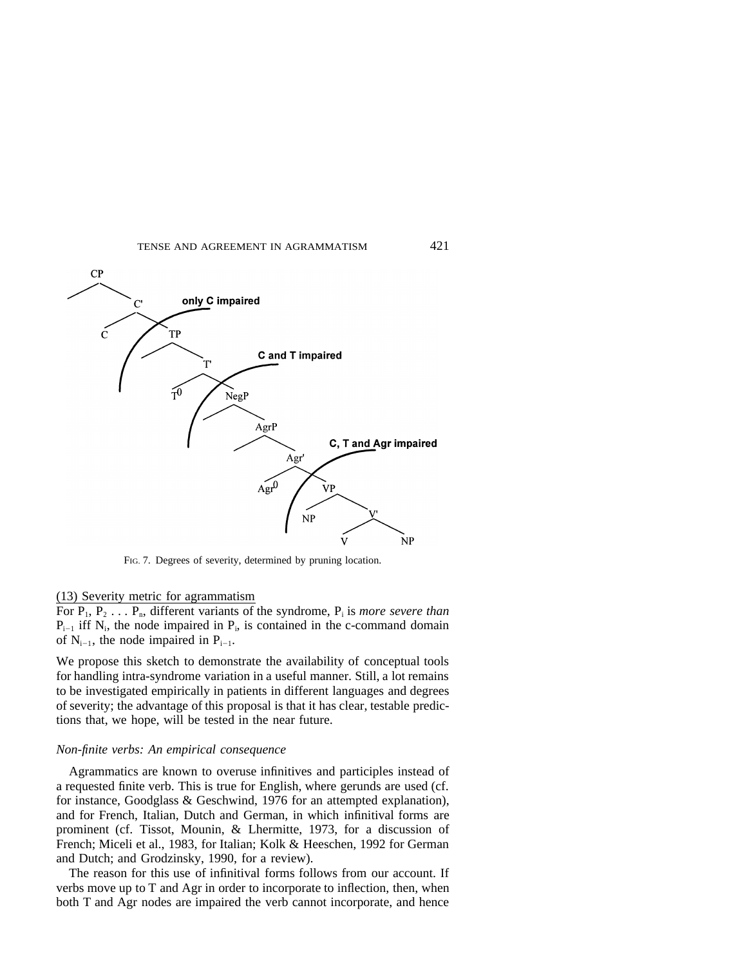

FIG. 7. Degrees of severity, determined by pruning location.

# (13) Severity metric for agrammatism

For  $P_1, P_2, \ldots, P_n$ , different variants of the syndrome,  $P_i$  is *more severe than*  $P_{i-1}$  iff N<sub>i</sub>, the node impaired in P<sub>i</sub>, is contained in the c-command domain of  $N_{i-1}$ , the node impaired in  $P_{i-1}$ .

We propose this sketch to demonstrate the availability of conceptual tools for handling intra-syndrome variation in a useful manner. Still, a lot remains to be investigated empirically in patients in different languages and degrees of severity; the advantage of this proposal is that it has clear, testable predictions that, we hope, will be tested in the near future.

# *Non-finite verbs: An empirical consequence*

Agrammatics are known to overuse infinitives and participles instead of a requested finite verb. This is true for English, where gerunds are used (cf. for instance, Goodglass & Geschwind, 1976 for an attempted explanation), and for French, Italian, Dutch and German, in which infinitival forms are prominent (cf. Tissot, Mounin, & Lhermitte, 1973, for a discussion of French; Miceli et al., 1983, for Italian; Kolk & Heeschen, 1992 for German and Dutch; and Grodzinsky, 1990, for a review).

The reason for this use of infinitival forms follows from our account. If verbs move up to T and Agr in order to incorporate to inflection, then, when both T and Agr nodes are impaired the verb cannot incorporate, and hence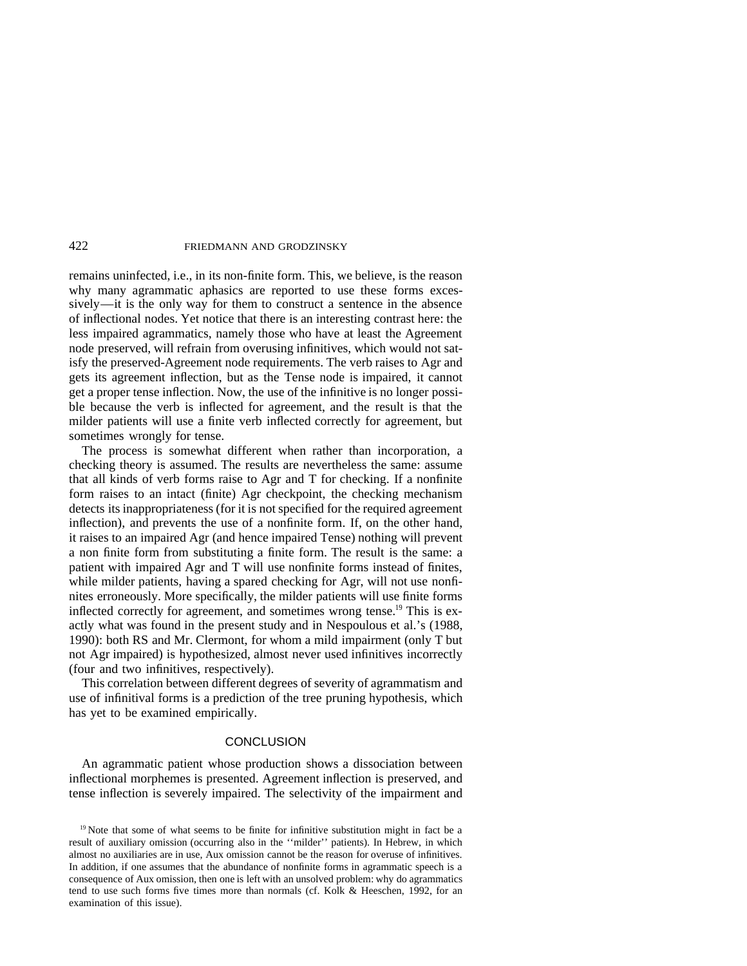remains uninfected, i.e., in its non-finite form. This, we believe, is the reason why many agrammatic aphasics are reported to use these forms excessively—it is the only way for them to construct a sentence in the absence of inflectional nodes. Yet notice that there is an interesting contrast here: the less impaired agrammatics, namely those who have at least the Agreement node preserved, will refrain from overusing infinitives, which would not satisfy the preserved-Agreement node requirements. The verb raises to Agr and gets its agreement inflection, but as the Tense node is impaired, it cannot get a proper tense inflection. Now, the use of the infinitive is no longer possible because the verb is inflected for agreement, and the result is that the milder patients will use a finite verb inflected correctly for agreement, but sometimes wrongly for tense.

The process is somewhat different when rather than incorporation, a checking theory is assumed. The results are nevertheless the same: assume that all kinds of verb forms raise to Agr and T for checking. If a nonfinite form raises to an intact (finite) Agr checkpoint, the checking mechanism detects its inappropriateness (for it is not specified for the required agreement inflection), and prevents the use of a nonfinite form. If, on the other hand, it raises to an impaired Agr (and hence impaired Tense) nothing will prevent a non finite form from substituting a finite form. The result is the same: a patient with impaired Agr and T will use nonfinite forms instead of finites, while milder patients, having a spared checking for Agr, will not use nonfinites erroneously. More specifically, the milder patients will use finite forms inflected correctly for agreement, and sometimes wrong tense.<sup>19</sup> This is exactly what was found in the present study and in Nespoulous et al.'s (1988, 1990): both RS and Mr. Clermont, for whom a mild impairment (only T but not Agr impaired) is hypothesized, almost never used infinitives incorrectly (four and two infinitives, respectively).

This correlation between different degrees of severity of agrammatism and use of infinitival forms is a prediction of the tree pruning hypothesis, which has yet to be examined empirically.

# CONCLUSION

An agrammatic patient whose production shows a dissociation between inflectional morphemes is presented. Agreement inflection is preserved, and tense inflection is severely impaired. The selectivity of the impairment and

<sup>19</sup> Note that some of what seems to be finite for infinitive substitution might in fact be a result of auxiliary omission (occurring also in the ''milder'' patients). In Hebrew, in which almost no auxiliaries are in use, Aux omission cannot be the reason for overuse of infinitives. In addition, if one assumes that the abundance of nonfinite forms in agrammatic speech is a consequence of Aux omission, then one is left with an unsolved problem: why do agrammatics tend to use such forms five times more than normals (cf. Kolk & Heeschen, 1992, for an examination of this issue).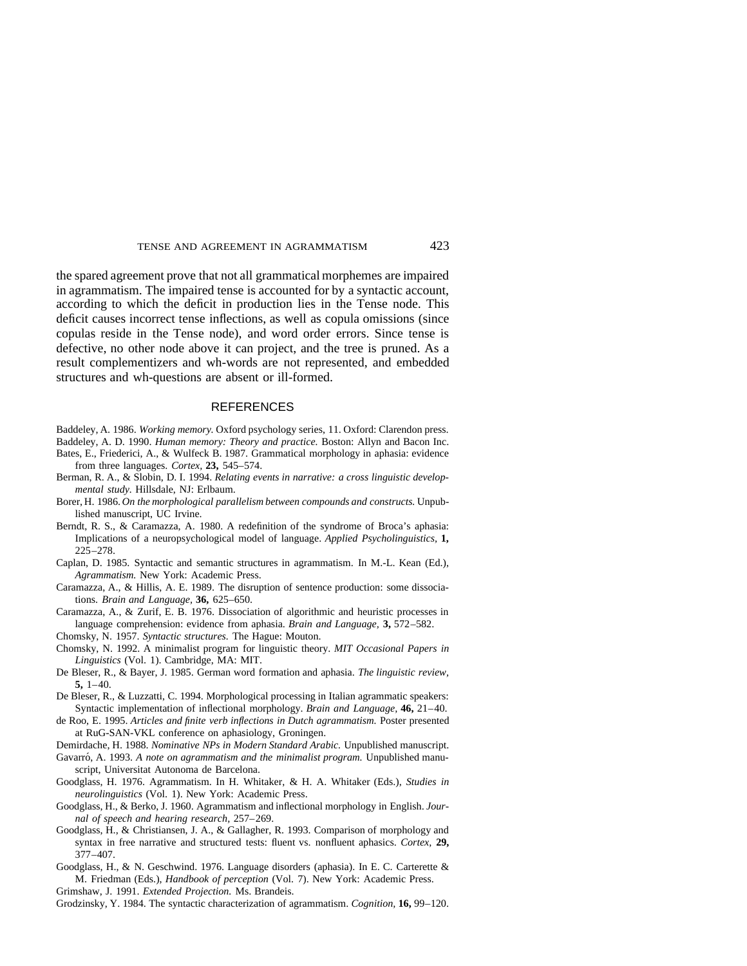the spared agreement prove that not all grammatical morphemes are impaired in agrammatism. The impaired tense is accounted for by a syntactic account, according to which the deficit in production lies in the Tense node. This deficit causes incorrect tense inflections, as well as copula omissions (since copulas reside in the Tense node), and word order errors. Since tense is defective, no other node above it can project, and the tree is pruned. As a result complementizers and wh-words are not represented, and embedded structures and wh-questions are absent or ill-formed.

# REFERENCES

- Baddeley, A. 1986. *Working memory.* Oxford psychology series, 11. Oxford: Clarendon press. Baddeley, A. D. 1990. *Human memory: Theory and practice.* Boston: Allyn and Bacon Inc.
- Bates, E., Friederici, A., & Wulfeck B. 1987. Grammatical morphology in aphasia: evidence from three languages. *Cortex,* **23,** 545–574.
- Berman, R. A., & Slobin, D. I. 1994. *Relating events in narrative: a cross linguistic developmental study.* Hillsdale, NJ: Erlbaum.
- Borer, H. 1986. *On the morphological parallelism between compounds and constructs.* Unpublished manuscript, UC Irvine.
- Berndt, R. S., & Caramazza, A. 1980. A redefinition of the syndrome of Broca's aphasia: Implications of a neuropsychological model of language. *Applied Psycholinguistics,* **1,** 225–278.
- Caplan, D. 1985. Syntactic and semantic structures in agrammatism. In M.-L. Kean (Ed.), *Agrammatism.* New York: Academic Press.
- Caramazza, A., & Hillis, A. E. 1989. The disruption of sentence production: some dissociations. *Brain and Language,* **36,** 625–650.
- Caramazza, A., & Zurif, E. B. 1976. Dissociation of algorithmic and heuristic processes in language comprehension: evidence from aphasia. *Brain and Language,* **3,** 572–582.
- Chomsky, N. 1957. *Syntactic structures.* The Hague: Mouton.
- Chomsky, N. 1992. A minimalist program for linguistic theory. *MIT Occasional Papers in Linguistics* (Vol. 1). Cambridge, MA: MIT.
- De Bleser, R., & Bayer, J. 1985. German word formation and aphasia. *The linguistic review,* **5,** 1–40.
- De Bleser, R., & Luzzatti, C. 1994. Morphological processing in Italian agrammatic speakers: Syntactic implementation of inflectional morphology. *Brain and Language,* **46,** 21–40.
- de Roo, E. 1995. *Articles and finite verb inflections in Dutch agrammatism.* Poster presented at RuG-SAN-VKL conference on aphasiology, Groningen.
- Demirdache, H. 1988. *Nominative NPs in Modern Standard Arabic.* Unpublished manuscript.
- Gavarró, A. 1993. *A note on agrammatism and the minimalist program*. Unpublished manuscript, Universitat Autonoma de Barcelona.
- Goodglass, H. 1976. Agrammatism. In H. Whitaker, & H. A. Whitaker (Eds.), *Studies in neurolinguistics* (Vol. 1). New York: Academic Press.
- Goodglass, H., & Berko, J. 1960. Agrammatism and inflectional morphology in English. *Journal of speech and hearing research,* 257–269.
- Goodglass, H., & Christiansen, J. A., & Gallagher, R. 1993. Comparison of morphology and syntax in free narrative and structured tests: fluent vs. nonfluent aphasics. *Cortex,* **29,** 377–407.
- Goodglass, H., & N. Geschwind. 1976. Language disorders (aphasia). In E. C. Carterette & M. Friedman (Eds.), *Handbook of perception* (Vol. 7). New York: Academic Press.
- Grimshaw, J. 1991. *Extended Projection.* Ms. Brandeis.
- Grodzinsky, Y. 1984. The syntactic characterization of agrammatism. *Cognition,* **16,** 99–120.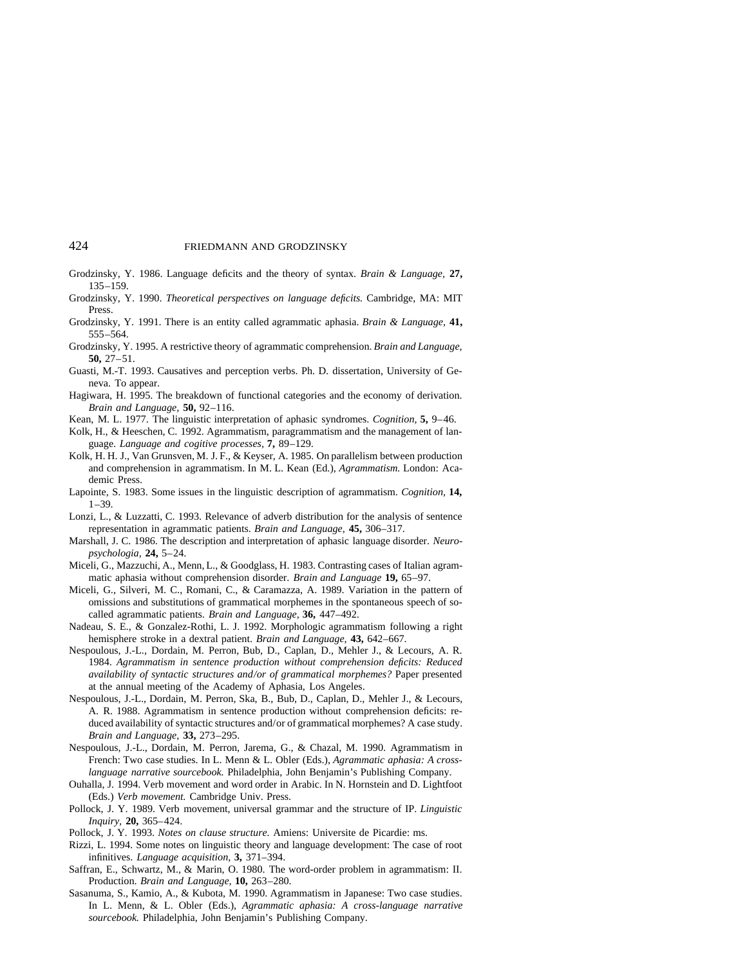- Grodzinsky, Y. 1986. Language deficits and the theory of syntax. *Brain & Language,* **27,** 135–159.
- Grodzinsky, Y. 1990. *Theoretical perspectives on language deficits.* Cambridge, MA: MIT Press.
- Grodzinsky, Y. 1991. There is an entity called agrammatic aphasia. *Brain & Language,* **41,** 555–564.
- Grodzinsky, Y. 1995. A restrictive theory of agrammatic comprehension. *Brain and Language,* **50,** 27–51.
- Guasti, M.-T. 1993. Causatives and perception verbs. Ph. D. dissertation, University of Geneva. To appear.
- Hagiwara, H. 1995. The breakdown of functional categories and the economy of derivation. *Brain and Language,* **50,** 92–116.
- Kean, M. L. 1977. The linguistic interpretation of aphasic syndromes. *Cognition,* **5,** 9–46.
- Kolk, H., & Heeschen, C. 1992. Agrammatism, paragrammatism and the management of language. *Language and cogitive processes,* **7,** 89–129.
- Kolk, H. H. J., Van Grunsven, M. J. F., & Keyser, A. 1985. On parallelism between production and comprehension in agrammatism. In M. L. Kean (Ed.), *Agrammatism.* London: Academic Press.
- Lapointe, S. 1983. Some issues in the linguistic description of agrammatism. *Cognition,* **14,** 1–39.
- Lonzi, L., & Luzzatti, C. 1993. Relevance of adverb distribution for the analysis of sentence representation in agrammatic patients. *Brain and Language,* **45,** 306–317.
- Marshall, J. C. 1986. The description and interpretation of aphasic language disorder. *Neuropsychologia,* **24,** 5–24.
- Miceli, G., Mazzuchi, A., Menn, L., & Goodglass, H. 1983. Contrasting cases of Italian agrammatic aphasia without comprehension disorder. *Brain and Language* **19,** 65–97.
- Miceli, G., Silveri, M. C., Romani, C., & Caramazza, A. 1989. Variation in the pattern of omissions and substitutions of grammatical morphemes in the spontaneous speech of socalled agrammatic patients. *Brain and Language,* **36,** 447–492.
- Nadeau, S. E., & Gonzalez-Rothi, L. J. 1992. Morphologic agrammatism following a right hemisphere stroke in a dextral patient. *Brain and Language,* **43,** 642–667.
- Nespoulous, J.-L., Dordain, M. Perron, Bub, D., Caplan, D., Mehler J., & Lecours, A. R. 1984. *Agrammatism in sentence production without comprehension deficits: Reduced availability of syntactic structures and/or of grammatical morphemes?* Paper presented at the annual meeting of the Academy of Aphasia, Los Angeles.
- Nespoulous, J.-L., Dordain, M. Perron, Ska, B., Bub, D., Caplan, D., Mehler J., & Lecours, A. R. 1988. Agrammatism in sentence production without comprehension deficits: reduced availability of syntactic structures and/or of grammatical morphemes? A case study. *Brain and Language,* **33,** 273–295.
- Nespoulous, J.-L., Dordain, M. Perron, Jarema, G., & Chazal, M. 1990. Agrammatism in French: Two case studies. In L. Menn & L. Obler (Eds.), *Agrammatic aphasia: A crosslanguage narrative sourcebook.* Philadelphia, John Benjamin's Publishing Company.
- Ouhalla, J. 1994. Verb movement and word order in Arabic. In N. Hornstein and D. Lightfoot (Eds.) *Verb movement.* Cambridge Univ. Press.
- Pollock, J. Y. 1989. Verb movement, universal grammar and the structure of IP. *Linguistic Inquiry,* **20,** 365–424.
- Pollock, J. Y. 1993. *Notes on clause structure.* Amiens: Universite de Picardie: ms.
- Rizzi, L. 1994. Some notes on linguistic theory and language development: The case of root infinitives. *Language acquisition,* **3,** 371–394.
- Saffran, E., Schwartz, M., & Marin, O. 1980. The word-order problem in agrammatism: II. Production. *Brain and Language,* **10,** 263–280.
- Sasanuma, S., Kamio, A., & Kubota, M. 1990. Agrammatism in Japanese: Two case studies. In L. Menn, & L. Obler (Eds.), *Agrammatic aphasia: A cross-language narrative sourcebook.* Philadelphia, John Benjamin's Publishing Company.